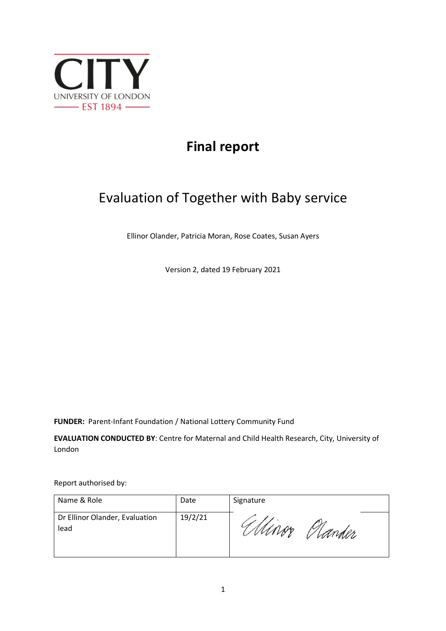

# **Final report**

# Evaluation of Together with Baby service

Ellinor Olander, Patricia Moran, Rose Coates, Susan Ayers

Version 2, dated 19 February 2021

**FUNDER:** Parent-Infant Foundation / National Lottery Community Fund

**EVALUATION CONDUCTED BY**: Centre for Maternal and Child Health Research, City, University of London

Report authorised by:

| Name & Role                            | Date    | Signature |
|----------------------------------------|---------|-----------|
| Dr Ellinor Olander, Evaluation<br>lead | 19/2/21 | rder      |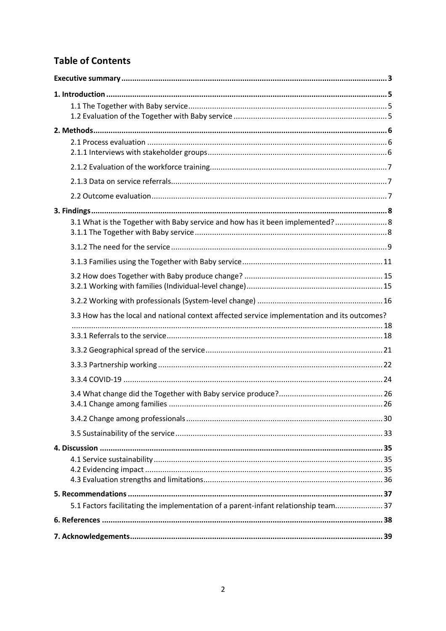# **Table of Contents**

| 3.1 What is the Together with Baby service and how has it been implemented? 8                |  |
|----------------------------------------------------------------------------------------------|--|
|                                                                                              |  |
|                                                                                              |  |
|                                                                                              |  |
|                                                                                              |  |
|                                                                                              |  |
|                                                                                              |  |
|                                                                                              |  |
| 3.3 How has the local and national context affected service implementation and its outcomes? |  |
|                                                                                              |  |
|                                                                                              |  |
|                                                                                              |  |
|                                                                                              |  |
|                                                                                              |  |
|                                                                                              |  |
|                                                                                              |  |
|                                                                                              |  |
|                                                                                              |  |
|                                                                                              |  |
|                                                                                              |  |
|                                                                                              |  |
|                                                                                              |  |
|                                                                                              |  |
| 5.1 Factors facilitating the implementation of a parent-infant relationship team 37          |  |
|                                                                                              |  |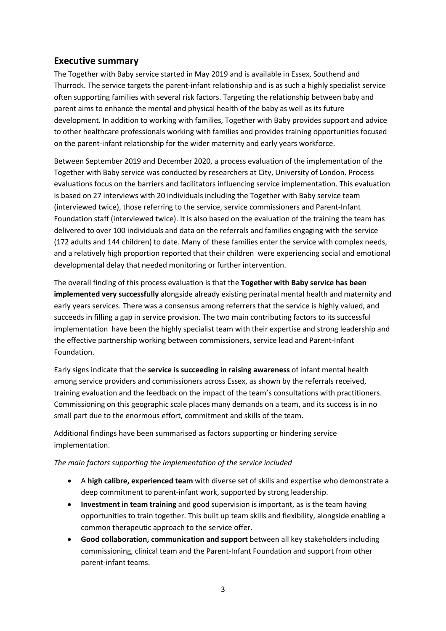# **Executive summary**

The Together with Baby service started in May 2019 and is available in Essex, Southend and Thurrock. The service targets the parent-infant relationship and is as such a highly specialist service often supporting families with several risk factors. Targeting the relationship between baby and parent aims to enhance the mental and physical health of the baby as well as its future development. In addition to working with families, Together with Baby provides support and advice to other healthcare professionals working with families and provides training opportunities focused on the parent-infant relationship for the wider maternity and early years workforce.

Between September 2019 and December 2020, a process evaluation of the implementation of the Together with Baby service was conducted by researchers at City, University of London. Process evaluations focus on the barriers and facilitators influencing service implementation. This evaluation is based on 27 interviews with 20 individuals including the Together with Baby service team (interviewed twice), those referring to the service, service commissioners and Parent-Infant Foundation staff (interviewed twice). It is also based on the evaluation of the training the team has delivered to over 100 individuals and data on the referrals and families engaging with the service (172 adults and 144 children) to date. Many of these families enter the service with complex needs, and a relatively high proportion reported that their children were experiencing social and emotional developmental delay that needed monitoring or further intervention.

The overall finding of this process evaluation is that the **Together with Baby service has been implemented very successfully** alongside already existing perinatal mental health and maternity and early years services. There was a consensus among referrers that the service is highly valued, and succeeds in filling a gap in service provision. The two main contributing factors to its successful implementation have been the highly specialist team with their expertise and strong leadership and the effective partnership working between commissioners, service lead and Parent-Infant Foundation.

Early signs indicate that the **service is succeeding in raising awareness** of infant mental health among service providers and commissioners across Essex, as shown by the referrals received, training evaluation and the feedback on the impact of the team's consultations with practitioners. Commissioning on this geographic scale places many demands on a team, and its success is in no small part due to the enormous effort, commitment and skills of the team.

Additional findings have been summarised as factors supporting or hindering service implementation.

## *The main factors supporting the implementation of the service included*

- A **high calibre, experienced team** with diverse set of skills and expertise who demonstrate a deep commitment to parent-infant work, supported by strong leadership.
- **Investment in team training** and good supervision is important, as is the team having opportunities to train together. This built up team skills and flexibility, alongside enabling a common therapeutic approach to the service offer.
- **Good collaboration, communication and support** between all key stakeholders including commissioning, clinical team and the Parent-Infant Foundation and support from other parent-infant teams.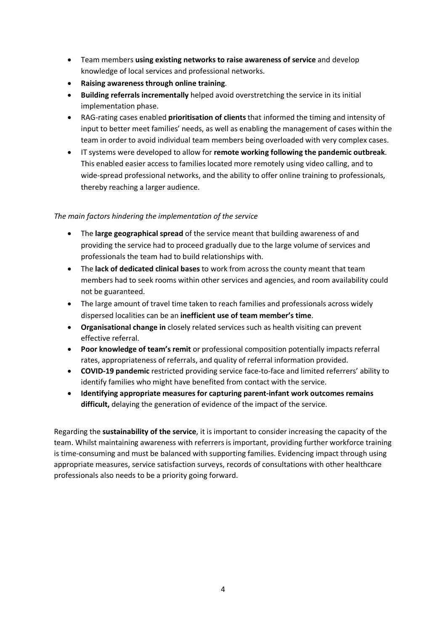- Team members **using existing networks to raise awareness of service** and develop knowledge of local services and professional networks.
- **Raising awareness through online training**.
- **Building referrals incrementally** helped avoid overstretching the service in its initial implementation phase.
- RAG-rating cases enabled **prioritisation of clients** that informed the timing and intensity of input to better meet families' needs, as well as enabling the management of cases within the team in order to avoid individual team members being overloaded with very complex cases.
- IT systems were developed to allow for **remote working following the pandemic outbreak**. This enabled easier access to families located more remotely using video calling, and to wide-spread professional networks, and the ability to offer online training to professionals, thereby reaching a larger audience.

## *The main factors hindering the implementation of the service*

- The **large geographical spread** of the service meant that building awareness of and providing the service had to proceed gradually due to the large volume of services and professionals the team had to build relationships with.
- The **lack of dedicated clinical bases** to work from across the county meant that team members had to seek rooms within other services and agencies, and room availability could not be guaranteed.
- The large amount of travel time taken to reach families and professionals across widely dispersed localities can be an **inefficient use of team member's time**.
- **Organisational change in** closely related services such as health visiting can prevent effective referral.
- **Poor knowledge of team's remit** or professional composition potentially impacts referral rates, appropriateness of referrals, and quality of referral information provided.
- **COVID-19 pandemic** restricted providing service face-to-face and limited referrers' ability to identify families who might have benefited from contact with the service.
- **Identifying appropriate measures for capturing parent-infant work outcomes remains difficult,** delaying the generation of evidence of the impact of the service.

Regarding the **sustainability of the service**, it is important to consider increasing the capacity of the team. Whilst maintaining awareness with referrers is important, providing further workforce training is time-consuming and must be balanced with supporting families. Evidencing impact through using appropriate measures, service satisfaction surveys, records of consultations with other healthcare professionals also needs to be a priority going forward.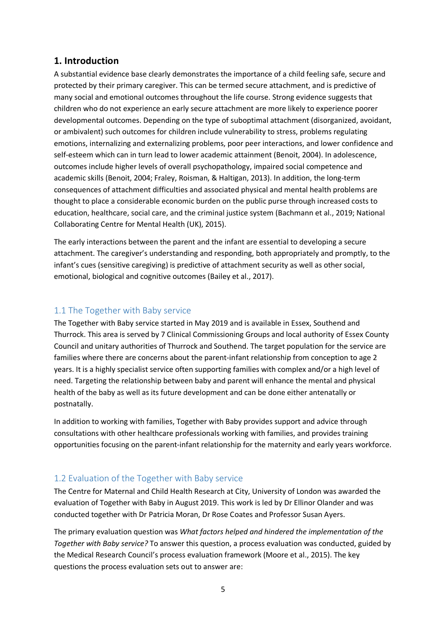# **1. Introduction**

A substantial evidence base clearly demonstrates the importance of a child feeling safe, secure and protected by their primary caregiver. This can be termed secure attachment, and is predictive of many social and emotional outcomes throughout the life course. Strong evidence suggests that children who do not experience an early secure attachment are more likely to experience poorer developmental outcomes. Depending on the type of suboptimal attachment (disorganized, avoidant, or ambivalent) such outcomes for children include vulnerability to stress, problems regulating emotions, internalizing and externalizing problems, poor peer interactions, and lower confidence and self-esteem which can in turn lead to lower academic attainment (Benoit, 2004). In adolescence, outcomes include higher levels of overall psychopathology, impaired social competence and academic skills (Benoit, 2004; Fraley, Roisman, & Haltigan, 2013). In addition, the long-term consequences of attachment difficulties and associated physical and mental health problems are thought to place a considerable economic burden on the public purse through increased costs to education, healthcare, social care, and the criminal justice system (Bachmann et al., 2019; National Collaborating Centre for Mental Health (UK), 2015).

The early interactions between the parent and the infant are essential to developing a secure attachment. The caregiver's understanding and responding, both appropriately and promptly, to the infant's cues (sensitive caregiving) is predictive of attachment security as well as other social, emotional, biological and cognitive outcomes (Bailey et al., 2017).

# 1.1 The Together with Baby service

The Together with Baby service started in May 2019 and is available in Essex, Southend and Thurrock. This area is served by 7 Clinical Commissioning Groups and local authority of Essex County Council and unitary authorities of Thurrock and Southend. The target population for the service are families where there are concerns about the parent-infant relationship from conception to age 2 years. It is a highly specialist service often supporting families with complex and/or a high level of need. Targeting the relationship between baby and parent will enhance the mental and physical health of the baby as well as its future development and can be done either antenatally or postnatally.

In addition to working with families, Together with Baby provides support and advice through consultations with other healthcare professionals working with families, and provides training opportunities focusing on the parent-infant relationship for the maternity and early years workforce.

# 1.2 Evaluation of the Together with Baby service

The Centre for Maternal and Child Health Research at City, University of London was awarded the evaluation of Together with Baby in August 2019. This work is led by Dr Ellinor Olander and was conducted together with Dr Patricia Moran, Dr Rose Coates and Professor Susan Ayers.

The primary evaluation question was *What factors helped and hindered the implementation of the Together with Baby service?* To answer this question, a process evaluation was conducted, guided by the Medical Research Council's process evaluation framework (Moore et al., 2015). The key questions the process evaluation sets out to answer are: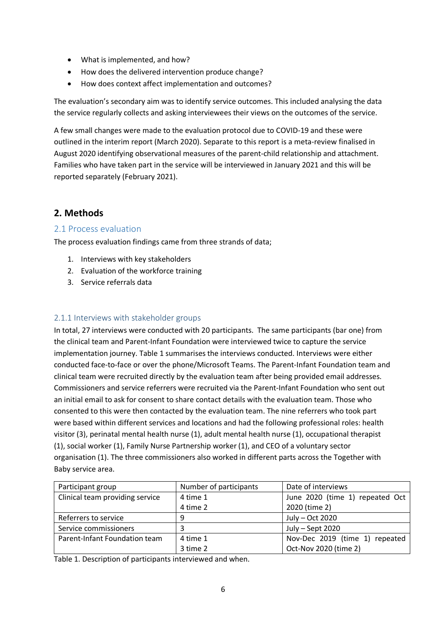- What is implemented, and how?
- How does the delivered intervention produce change?
- How does context affect implementation and outcomes?

The evaluation's secondary aim was to identify service outcomes. This included analysing the data the service regularly collects and asking interviewees their views on the outcomes of the service.

A few small changes were made to the evaluation protocol due to COVID-19 and these were outlined in the interim report (March 2020). Separate to this report is a meta-review finalised in August 2020 identifying observational measures of the parent-child relationship and attachment. Families who have taken part in the service will be interviewed in January 2021 and this will be reported separately (February 2021).

# **2. Methods**

# 2.1 Process evaluation

The process evaluation findings came from three strands of data;

- 1. Interviews with key stakeholders
- 2. Evaluation of the workforce training
- 3. Service referrals data

# 2.1.1 Interviews with stakeholder groups

In total, 27 interviews were conducted with 20 participants. The same participants (bar one) from the clinical team and Parent-Infant Foundation were interviewed twice to capture the service implementation journey. Table 1 summarises the interviews conducted. Interviews were either conducted face-to-face or over the phone/Microsoft Teams. The Parent-Infant Foundation team and clinical team were recruited directly by the evaluation team after being provided email addresses. Commissioners and service referrers were recruited via the Parent-Infant Foundation who sent out an initial email to ask for consent to share contact details with the evaluation team. Those who consented to this were then contacted by the evaluation team. The nine referrers who took part were based within different services and locations and had the following professional roles: health visitor (3), perinatal mental health nurse (1), adult mental health nurse (1), occupational therapist (1), social worker (1), Family Nurse Partnership worker (1), and CEO of a voluntary sector organisation (1). The three commissioners also worked in different parts across the Together with Baby service area.

| Participant group               | Number of participants | Date of interviews              |
|---------------------------------|------------------------|---------------------------------|
| Clinical team providing service | 4 time 1               | June 2020 (time 1) repeated Oct |
|                                 | 4 time 2               | 2020 (time 2)                   |
| Referrers to service            |                        | July - Oct 2020                 |
| Service commissioners           |                        | July - Sept 2020                |
| Parent-Infant Foundation team   | 4 time 1               | Nov-Dec 2019 (time 1) repeated  |
|                                 | 3 time 2               | Oct-Nov 2020 (time 2)           |

Table 1. Description of participants interviewed and when.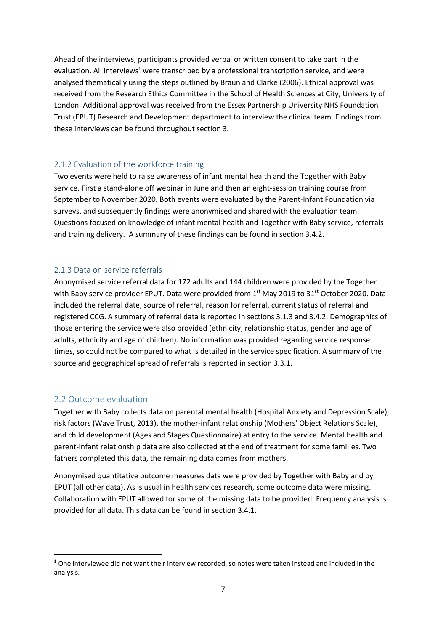Ahead of the interviews, participants provided verbal or written consent to take part in the evaluation. All interviews<sup>1</sup> were transcribed by a professional transcription service, and were analysed thematically using the steps outlined by Braun and Clarke (2006). Ethical approval was received from the Research Ethics Committee in the School of Health Sciences at City, University of London. Additional approval was received from the Essex Partnership University NHS Foundation Trust (EPUT) Research and Development department to interview the clinical team. Findings from these interviews can be found throughout section 3.

# 2.1.2 Evaluation of the workforce training

Two events were held to raise awareness of infant mental health and the Together with Baby service. First a stand-alone off webinar in June and then an eight-session training course from September to November 2020. Both events were evaluated by the Parent-Infant Foundation via surveys, and subsequently findings were anonymised and shared with the evaluation team. Questions focused on knowledge of infant mental health and Together with Baby service, referrals and training delivery. A summary of these findings can be found in section 3.4.2.

# 2.1.3 Data on service referrals

Anonymised service referral data for 172 adults and 144 children were provided by the Together with Baby service provider EPUT. Data were provided from 1<sup>st</sup> May 2019 to 31<sup>st</sup> October 2020. Data included the referral date, source of referral, reason for referral, current status of referral and registered CCG. A summary of referral data is reported in sections 3.1.3 and 3.4.2. Demographics of those entering the service were also provided (ethnicity, relationship status, gender and age of adults, ethnicity and age of children). No information was provided regarding service response times, so could not be compared to what is detailed in the service specification. A summary of the source and geographical spread of referrals is reported in section 3.3.1.

# 2.2 Outcome evaluation

 $\overline{a}$ 

Together with Baby collects data on parental mental health (Hospital Anxiety and Depression Scale), risk factors (Wave Trust, 2013), the mother-infant relationship (Mothers' Object Relations Scale), and child development (Ages and Stages Questionnaire) at entry to the service. Mental health and parent-infant relationship data are also collected at the end of treatment for some families. Two fathers completed this data, the remaining data comes from mothers.

Anonymised quantitative outcome measures data were provided by Together with Baby and by EPUT (all other data). As is usual in health services research, some outcome data were missing. Collaboration with EPUT allowed for some of the missing data to be provided. Frequency analysis is provided for all data. This data can be found in section 3.4.1.

 $1$  One interviewee did not want their interview recorded, so notes were taken instead and included in the analysis.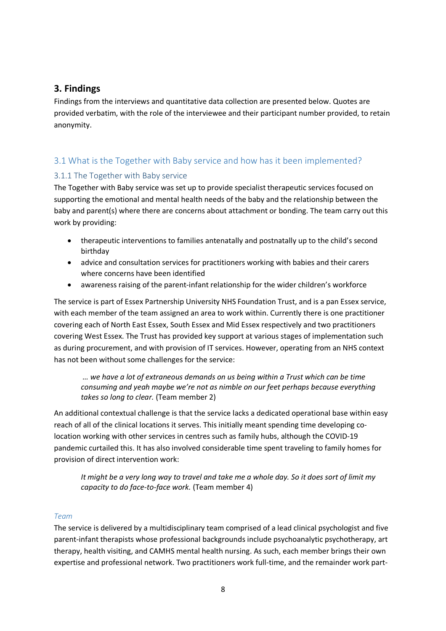# **3. Findings**

Findings from the interviews and quantitative data collection are presented below. Quotes are provided verbatim, with the role of the interviewee and their participant number provided, to retain anonymity.

# 3.1 What is the Together with Baby service and how has it been implemented?

# 3.1.1 The Together with Baby service

The Together with Baby service was set up to provide specialist therapeutic services focused on supporting the emotional and mental health needs of the baby and the relationship between the baby and parent(s) where there are concerns about attachment or bonding. The team carry out this work by providing:

- therapeutic interventions to families antenatally and postnatally up to the child's second birthday
- advice and consultation services for practitioners working with babies and their carers where concerns have been identified
- awareness raising of the parent-infant relationship for the wider children's workforce

The service is part of Essex Partnership University NHS Foundation Trust, and is a pan Essex service, with each member of the team assigned an area to work within. Currently there is one practitioner covering each of North East Essex, South Essex and Mid Essex respectively and two practitioners covering West Essex. The Trust has provided key support at various stages of implementation such as during procurement, and with provision of IT services. However, operating from an NHS context has not been without some challenges for the service:

 *… we have a lot of extraneous demands on us being within a Trust which can be time consuming and yeah maybe we're not as nimble on our feet perhaps because everything takes so long to clear.* (Team member 2)

An additional contextual challenge is that the service lacks a dedicated operational base within easy reach of all of the clinical locations it serves. This initially meant spending time developing colocation working with other services in centres such as family hubs, although the COVID-19 pandemic curtailed this. It has also involved considerable time spent traveling to family homes for provision of direct intervention work:

*It might be a very long way to travel and take me a whole day. So it does sort of limit my capacity to do face-to-face work.* (Team member 4)

#### *Team*

The service is delivered by a multidisciplinary team comprised of a lead clinical psychologist and five parent-infant therapists whose professional backgrounds include psychoanalytic psychotherapy, art therapy, health visiting, and CAMHS mental health nursing. As such, each member brings their own expertise and professional network. Two practitioners work full-time, and the remainder work part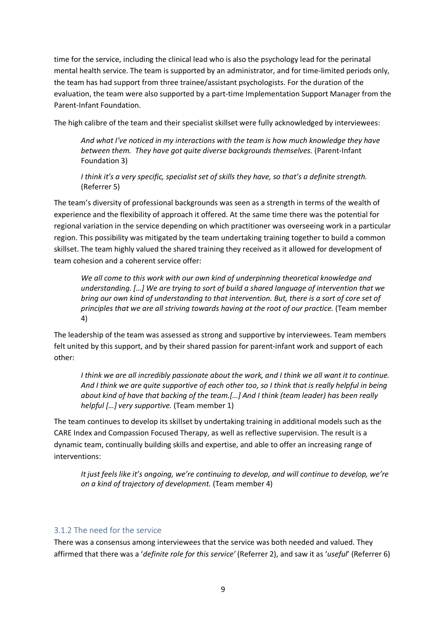time for the service, including the clinical lead who is also the psychology lead for the perinatal mental health service. The team is supported by an administrator, and for time-limited periods only, the team has had support from three trainee/assistant psychologists. For the duration of the evaluation, the team were also supported by a part-time Implementation Support Manager from the Parent-Infant Foundation.

The high calibre of the team and their specialist skillset were fully acknowledged by interviewees:

*And what I've noticed in my interactions with the team is how much knowledge they have between them. They have got quite diverse backgrounds themselves.* (Parent-Infant Foundation 3)

*I think it's a very specific, specialist set of skills they have, so that's a definite strength.* (Referrer 5)

The team's diversity of professional backgrounds was seen as a strength in terms of the wealth of experience and the flexibility of approach it offered. At the same time there was the potential for regional variation in the service depending on which practitioner was overseeing work in a particular region. This possibility was mitigated by the team undertaking training together to build a common skillset. The team highly valued the shared training they received as it allowed for development of team cohesion and a coherent service offer:

*We all come to this work with our own kind of underpinning theoretical knowledge and understanding. […] We are trying to sort of build a shared language of intervention that we bring our own kind of understanding to that intervention. But, there is a sort of core set of principles that we are all striving towards having at the root of our practice.* (Team member 4)

The leadership of the team was assessed as strong and supportive by interviewees. Team members felt united by this support, and by their shared passion for parent-infant work and support of each other:

*I think we are all incredibly passionate about the work, and I think we all want it to continue. And I think we are quite supportive of each other too, so I think that is really helpful in being about kind of have that backing of the team.[…] And I think (team leader) has been really helpful […] very supportive.* (Team member 1)

The team continues to develop its skillset by undertaking training in additional models such as the CARE Index and Compassion Focused Therapy, as well as reflective supervision. The result is a dynamic team, continually building skills and expertise, and able to offer an increasing range of interventions:

*It just feels like it's ongoing, we're continuing to develop, and will continue to develop, we're on a kind of trajectory of development.* (Team member 4)

## 3.1.2 The need for the service

There was a consensus among interviewees that the service was both needed and valued. They affirmed that there was a '*definite role for this service'* (Referrer 2), and saw it as '*useful*' (Referrer 6)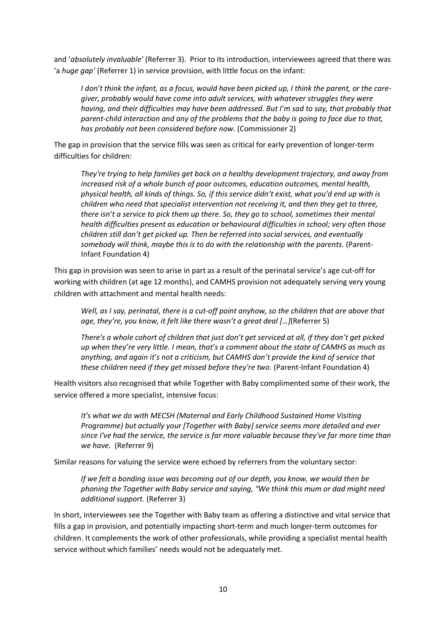and '*absolutely invaluable'* (Referrer 3). Prior to its introduction, interviewees agreed that there was 'a *huge gap'* (Referrer 1) in service provision, with little focus on the infant:

*I don't think the infant, as a focus, would have been picked up, I think the parent, or the caregiver, probably would have come into adult services, with whatever struggles they were having, and their difficulties may have been addressed. But I'm sad to say, that probably that parent-child interaction and any of the problems that the baby is going to face due to that, has probably not been considered before now.* (Commissioner 2)

The gap in provision that the service fills was seen as critical for early prevention of longer-term difficulties for children:

*They're trying to help families get back on a healthy development trajectory, and away from increased risk of a whole bunch of poor outcomes, education outcomes, mental health, physical health, all kinds of things. So, if this service didn't exist, what you'd end up with is children who need that specialist intervention not receiving it, and then they get to three, there isn't a service to pick them up there. So, they go to school, sometimes their mental health difficulties present as education or behavioural difficulties in school; very often those children still don't get picked up. Then be referred into social services, and eventually somebody will think, maybe this is to do with the relationship with the parents.* (Parent-Infant Foundation 4)

This gap in provision was seen to arise in part as a result of the perinatal service's age cut-off for working with children (at age 12 months), and CAMHS provision not adequately serving very young children with attachment and mental health needs:

*Well, as I say, perinatal, there is a cut-off point anyhow, so the children that are above that age, they're, you know, it felt like there wasn't a great deal […]*(Referrer 5)

*There's a whole cohort of children that just don't get serviced at all, if they don't get picked up when they're very little. I mean, that's a comment about the state of CAMHS as much as anything, and again it's not a criticism, but CAMHS don't provide the kind of service that these children need if they get missed before they're two.* (Parent-Infant Foundation 4)

Health visitors also recognised that while Together with Baby complimented some of their work, the service offered a more specialist, intensive focus:

*It's what we do with MECSH (Maternal and Early Childhood Sustained Home Visiting Programme) but actually your [Together with Baby] service seems more detailed and ever since I've had the service, the service is far more valuable because they've far more time than we have.* (Referrer 9)

Similar reasons for valuing the service were echoed by referrers from the voluntary sector:

*If we felt a bonding issue was becoming out of our depth, you know, we would then be phoning the Together with Baby service and saying, "We think this mum or dad might need additional support.* (Referrer 3)

In short, interviewees see the Together with Baby team as offering a distinctive and vital service that fills a gap in provision, and potentially impacting short-term and much longer-term outcomes for children. It complements the work of other professionals, while providing a specialist mental health service without which families' needs would not be adequately met.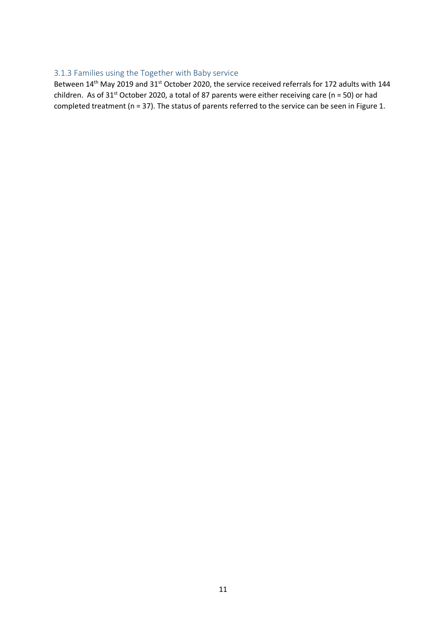# 3.1.3 Families using the Together with Baby service

Between 14<sup>th</sup> May 2019 and 31<sup>st</sup> October 2020, the service received referrals for 172 adults with 144 children. As of 31<sup>st</sup> October 2020, a total of 87 parents were either receiving care (n = 50) or had completed treatment (n = 37). The status of parents referred to the service can be seen in Figure 1.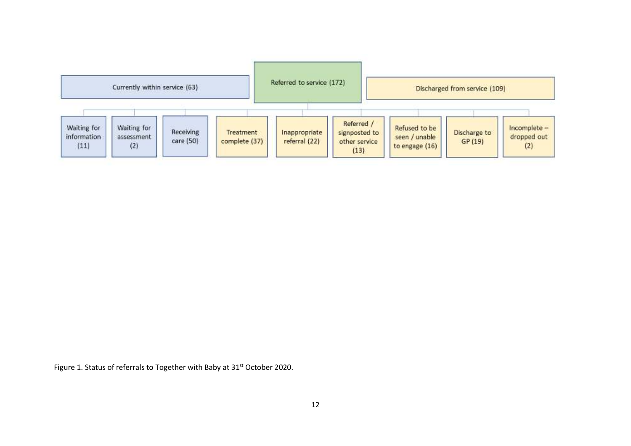|                                    | Currently within service (63)    |                        |                            | Referred to service (172)      |                                                      |                                                  | Discharged from service (109) |                                    |
|------------------------------------|----------------------------------|------------------------|----------------------------|--------------------------------|------------------------------------------------------|--------------------------------------------------|-------------------------------|------------------------------------|
| Waiting for<br>information<br>(11) | Waiting for<br>assessment<br>(2) | Receiving<br>care (50) | Treatment<br>complete (37) | Inappropriate<br>referral (22) | Referred /<br>signposted to<br>other service<br>(13) | Refused to be<br>seen / unable<br>to engage (16) | Discharge to<br>GP (19)       | Incomplete -<br>dropped out<br>(2) |

Figure 1. Status of referrals to Together with Baby at 31<sup>st</sup> October 2020.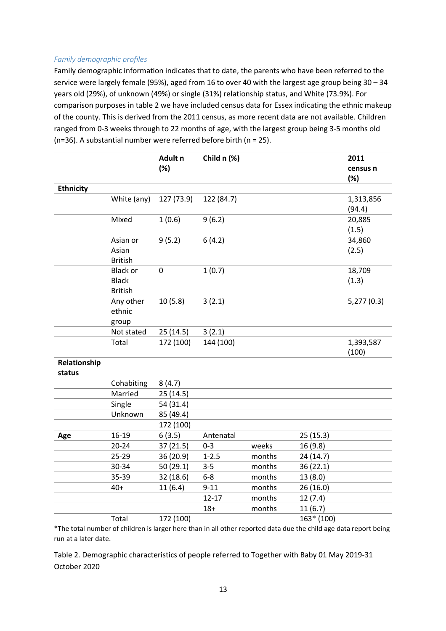## *Family demographic profiles*

Family demographic information indicates that to date, the parents who have been referred to the service were largely female (95%), aged from 16 to over 40 with the largest age group being 30 – 34 years old (29%), of unknown (49%) or single (31%) relationship status, and White (73.9%). For comparison purposes in table 2 we have included census data for Essex indicating the ethnic makeup of the county. This is derived from the 2011 census, as more recent data are not available. Children ranged from 0-3 weeks through to 22 months of age, with the largest group being 3-5 months old (n=36). A substantial number were referred before birth (n = 25).

| (%)<br>census n<br>(%)<br><b>Ethnicity</b><br>White (any)<br>127 (73.9)<br>122 (84.7)<br>1,313,856<br>(94.4)<br>Mixed<br>1(0.6)<br>9(6.2)<br>20,885<br>(1.5)<br>9(5.2)<br>6(4.2)<br>Asian or<br>34,860<br>Asian<br>(2.5)<br><b>British</b><br>1(0.7)<br><b>Black or</b><br>18,709<br>0<br><b>Black</b><br>(1.3)<br><b>British</b><br>10(5.8)<br>3(2.1)<br>Any other<br>5,277(0.3)<br>ethnic<br>group<br>25(14.5)<br>3(2.1)<br>Not stated<br>172 (100)<br>Total<br>144 (100)<br>1,393,587<br>(100)<br>Relationship<br>status<br>Cohabiting<br>8(4.7)<br>Married<br>25 (14.5)<br>Single<br>54 (31.4)<br>Unknown<br>85 (49.4)<br>172 (100)<br>$16-19$<br>6(3.5)<br>25(15.3)<br>Antenatal<br>Age<br>$20 - 24$<br>37 (21.5)<br>$0 - 3$<br>weeks<br>16 (9.8)<br>$1 - 2.5$<br>$25 - 29$<br>months<br>36 (20.9)<br>24 (14.7)<br>30-34<br>$3 - 5$<br>months<br>50 (29.1)<br>36(22.1)<br>35-39<br>$6-8$<br>32 (18.6)<br>months<br>13(8.0)<br>11(6.4)<br>$9 - 11$<br>26(16.0)<br>40+<br>months<br>$12 - 17$<br>months<br>12(7.4) |  | Adult <sub>n</sub> | Child n (%) |  | 2011 |
|-----------------------------------------------------------------------------------------------------------------------------------------------------------------------------------------------------------------------------------------------------------------------------------------------------------------------------------------------------------------------------------------------------------------------------------------------------------------------------------------------------------------------------------------------------------------------------------------------------------------------------------------------------------------------------------------------------------------------------------------------------------------------------------------------------------------------------------------------------------------------------------------------------------------------------------------------------------------------------------------------------------------------|--|--------------------|-------------|--|------|
|                                                                                                                                                                                                                                                                                                                                                                                                                                                                                                                                                                                                                                                                                                                                                                                                                                                                                                                                                                                                                       |  |                    |             |  |      |
|                                                                                                                                                                                                                                                                                                                                                                                                                                                                                                                                                                                                                                                                                                                                                                                                                                                                                                                                                                                                                       |  |                    |             |  |      |
|                                                                                                                                                                                                                                                                                                                                                                                                                                                                                                                                                                                                                                                                                                                                                                                                                                                                                                                                                                                                                       |  |                    |             |  |      |
|                                                                                                                                                                                                                                                                                                                                                                                                                                                                                                                                                                                                                                                                                                                                                                                                                                                                                                                                                                                                                       |  |                    |             |  |      |
|                                                                                                                                                                                                                                                                                                                                                                                                                                                                                                                                                                                                                                                                                                                                                                                                                                                                                                                                                                                                                       |  |                    |             |  |      |
|                                                                                                                                                                                                                                                                                                                                                                                                                                                                                                                                                                                                                                                                                                                                                                                                                                                                                                                                                                                                                       |  |                    |             |  |      |
|                                                                                                                                                                                                                                                                                                                                                                                                                                                                                                                                                                                                                                                                                                                                                                                                                                                                                                                                                                                                                       |  |                    |             |  |      |
|                                                                                                                                                                                                                                                                                                                                                                                                                                                                                                                                                                                                                                                                                                                                                                                                                                                                                                                                                                                                                       |  |                    |             |  |      |
|                                                                                                                                                                                                                                                                                                                                                                                                                                                                                                                                                                                                                                                                                                                                                                                                                                                                                                                                                                                                                       |  |                    |             |  |      |
|                                                                                                                                                                                                                                                                                                                                                                                                                                                                                                                                                                                                                                                                                                                                                                                                                                                                                                                                                                                                                       |  |                    |             |  |      |
|                                                                                                                                                                                                                                                                                                                                                                                                                                                                                                                                                                                                                                                                                                                                                                                                                                                                                                                                                                                                                       |  |                    |             |  |      |
|                                                                                                                                                                                                                                                                                                                                                                                                                                                                                                                                                                                                                                                                                                                                                                                                                                                                                                                                                                                                                       |  |                    |             |  |      |
|                                                                                                                                                                                                                                                                                                                                                                                                                                                                                                                                                                                                                                                                                                                                                                                                                                                                                                                                                                                                                       |  |                    |             |  |      |
|                                                                                                                                                                                                                                                                                                                                                                                                                                                                                                                                                                                                                                                                                                                                                                                                                                                                                                                                                                                                                       |  |                    |             |  |      |
|                                                                                                                                                                                                                                                                                                                                                                                                                                                                                                                                                                                                                                                                                                                                                                                                                                                                                                                                                                                                                       |  |                    |             |  |      |
|                                                                                                                                                                                                                                                                                                                                                                                                                                                                                                                                                                                                                                                                                                                                                                                                                                                                                                                                                                                                                       |  |                    |             |  |      |
|                                                                                                                                                                                                                                                                                                                                                                                                                                                                                                                                                                                                                                                                                                                                                                                                                                                                                                                                                                                                                       |  |                    |             |  |      |
|                                                                                                                                                                                                                                                                                                                                                                                                                                                                                                                                                                                                                                                                                                                                                                                                                                                                                                                                                                                                                       |  |                    |             |  |      |
|                                                                                                                                                                                                                                                                                                                                                                                                                                                                                                                                                                                                                                                                                                                                                                                                                                                                                                                                                                                                                       |  |                    |             |  |      |
|                                                                                                                                                                                                                                                                                                                                                                                                                                                                                                                                                                                                                                                                                                                                                                                                                                                                                                                                                                                                                       |  |                    |             |  |      |
|                                                                                                                                                                                                                                                                                                                                                                                                                                                                                                                                                                                                                                                                                                                                                                                                                                                                                                                                                                                                                       |  |                    |             |  |      |
|                                                                                                                                                                                                                                                                                                                                                                                                                                                                                                                                                                                                                                                                                                                                                                                                                                                                                                                                                                                                                       |  |                    |             |  |      |
|                                                                                                                                                                                                                                                                                                                                                                                                                                                                                                                                                                                                                                                                                                                                                                                                                                                                                                                                                                                                                       |  |                    |             |  |      |
|                                                                                                                                                                                                                                                                                                                                                                                                                                                                                                                                                                                                                                                                                                                                                                                                                                                                                                                                                                                                                       |  |                    |             |  |      |
|                                                                                                                                                                                                                                                                                                                                                                                                                                                                                                                                                                                                                                                                                                                                                                                                                                                                                                                                                                                                                       |  |                    |             |  |      |
|                                                                                                                                                                                                                                                                                                                                                                                                                                                                                                                                                                                                                                                                                                                                                                                                                                                                                                                                                                                                                       |  |                    |             |  |      |
|                                                                                                                                                                                                                                                                                                                                                                                                                                                                                                                                                                                                                                                                                                                                                                                                                                                                                                                                                                                                                       |  |                    |             |  |      |
|                                                                                                                                                                                                                                                                                                                                                                                                                                                                                                                                                                                                                                                                                                                                                                                                                                                                                                                                                                                                                       |  |                    |             |  |      |
|                                                                                                                                                                                                                                                                                                                                                                                                                                                                                                                                                                                                                                                                                                                                                                                                                                                                                                                                                                                                                       |  |                    |             |  |      |
|                                                                                                                                                                                                                                                                                                                                                                                                                                                                                                                                                                                                                                                                                                                                                                                                                                                                                                                                                                                                                       |  |                    |             |  |      |
|                                                                                                                                                                                                                                                                                                                                                                                                                                                                                                                                                                                                                                                                                                                                                                                                                                                                                                                                                                                                                       |  |                    |             |  |      |
|                                                                                                                                                                                                                                                                                                                                                                                                                                                                                                                                                                                                                                                                                                                                                                                                                                                                                                                                                                                                                       |  |                    |             |  |      |
| 11(6.7)<br>$18+$<br>months                                                                                                                                                                                                                                                                                                                                                                                                                                                                                                                                                                                                                                                                                                                                                                                                                                                                                                                                                                                            |  |                    |             |  |      |
| 172 (100)<br>$163* (100)$<br>Total                                                                                                                                                                                                                                                                                                                                                                                                                                                                                                                                                                                                                                                                                                                                                                                                                                                                                                                                                                                    |  |                    |             |  |      |

\*The total number of children is larger here than in all other reported data due the child age data report being run at a later date.

Table 2. Demographic characteristics of people referred to Together with Baby 01 May 2019-31 October 2020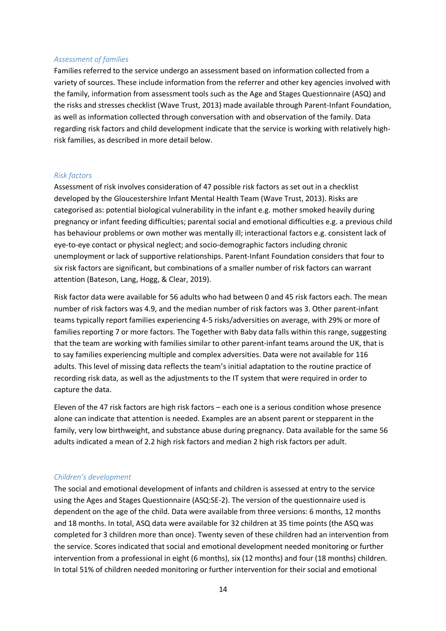#### *Assessment of families*

Families referred to the service undergo an assessment based on information collected from a variety of sources. These include information from the referrer and other key agencies involved with the family, information from assessment tools such as the Age and Stages Questionnaire (ASQ) and the risks and stresses checklist (Wave Trust, 2013) made available through Parent-Infant Foundation, as well as information collected through conversation with and observation of the family. Data regarding risk factors and child development indicate that the service is working with relatively highrisk families, as described in more detail below.

#### *Risk factors*

Assessment of risk involves consideration of 47 possible risk factors as set out in a checklist developed by the Gloucestershire Infant Mental Health Team (Wave Trust, 2013). Risks are categorised as: potential biological vulnerability in the infant e.g. mother smoked heavily during pregnancy or infant feeding difficulties; parental social and emotional difficulties e.g. a previous child has behaviour problems or own mother was mentally ill; interactional factors e.g. consistent lack of eye-to-eye contact or physical neglect; and socio-demographic factors including chronic unemployment or lack of supportive relationships. Parent-Infant Foundation considers that four to six risk factors are significant, but combinations of a smaller number of risk factors can warrant attention (Bateson, Lang, Hogg, & Clear, 2019).

Risk factor data were available for 56 adults who had between 0 and 45 risk factors each. The mean number of risk factors was 4.9, and the median number of risk factors was 3. Other parent-infant teams typically report families experiencing 4-5 risks/adversities on average, with 29% or more of families reporting 7 or more factors. The Together with Baby data falls within this range, suggesting that the team are working with families similar to other parent-infant teams around the UK, that is to say families experiencing multiple and complex adversities. Data were not available for 116 adults. This level of missing data reflects the team's initial adaptation to the routine practice of recording risk data, as well as the adjustments to the IT system that were required in order to capture the data.

Eleven of the 47 risk factors are high risk factors – each one is a serious condition whose presence alone can indicate that attention is needed. Examples are an absent parent or stepparent in the family, very low birthweight, and substance abuse during pregnancy. Data available for the same 56 adults indicated a mean of 2.2 high risk factors and median 2 high risk factors per adult.

#### *Children's development*

The social and emotional development of infants and children is assessed at entry to the service using the Ages and Stages Questionnaire (ASQ:SE-2). The version of the questionnaire used is dependent on the age of the child. Data were available from three versions: 6 months, 12 months and 18 months. In total, ASQ data were available for 32 children at 35 time points (the ASQ was completed for 3 children more than once). Twenty seven of these children had an intervention from the service. Scores indicated that social and emotional development needed monitoring or further intervention from a professional in eight (6 months), six (12 months) and four (18 months) children. In total 51% of children needed monitoring or further intervention for their social and emotional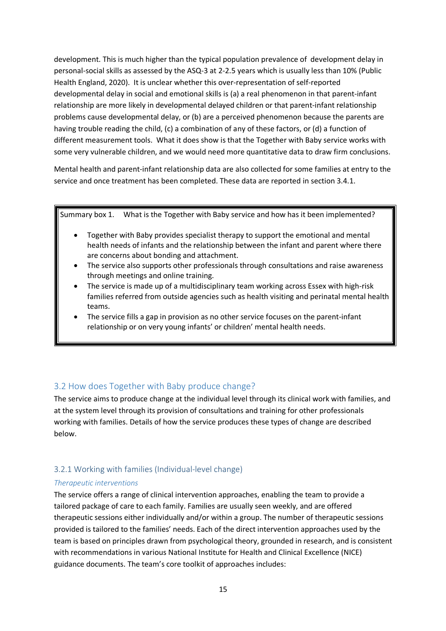development. This is much higher than the typical population prevalence of development delay in personal-social skills as assessed by the ASQ-3 at 2-2.5 years which is usually less than 10% (Public Health England, 2020). It is unclear whether this over-representation of self-reported developmental delay in social and emotional skills is (a) a real phenomenon in that parent-infant relationship are more likely in developmental delayed children or that parent-infant relationship problems cause developmental delay, or (b) are a perceived phenomenon because the parents are having trouble reading the child, (c) a combination of any of these factors, or (d) a function of different measurement tools. What it does show is that the Together with Baby service works with some very vulnerable children, and we would need more quantitative data to draw firm conclusions.

Mental health and parent-infant relationship data are also collected for some families at entry to the service and once treatment has been completed. These data are reported in section 3.4.1.

Summary box 1. What is the Together with Baby service and how has it been implemented?

- Together with Baby provides specialist therapy to support the emotional and mental health needs of infants and the relationship between the infant and parent where there are concerns about bonding and attachment.
- The service also supports other professionals through consultations and raise awareness through meetings and online training.
- The service is made up of a multidisciplinary team working across Essex with high-risk families referred from outside agencies such as health visiting and perinatal mental health teams.
- The service fills a gap in provision as no other service focuses on the parent-infant relationship or on very young infants' or children' mental health needs.

# 3.2 How does Together with Baby produce change?

The service aims to produce change at the individual level through its clinical work with families, and at the system level through its provision of consultations and training for other professionals working with families. Details of how the service produces these types of change are described below.

# 3.2.1 Working with families (Individual-level change)

## *Therapeutic interventions*

The service offers a range of clinical intervention approaches, enabling the team to provide a tailored package of care to each family. Families are usually seen weekly, and are offered therapeutic sessions either individually and/or within a group. The number of therapeutic sessions provided is tailored to the families' needs. Each of the direct intervention approaches used by the team is based on principles drawn from psychological theory, grounded in research, and is consistent with recommendations in various National Institute for Health and Clinical Excellence (NICE) guidance documents. The team's core toolkit of approaches includes: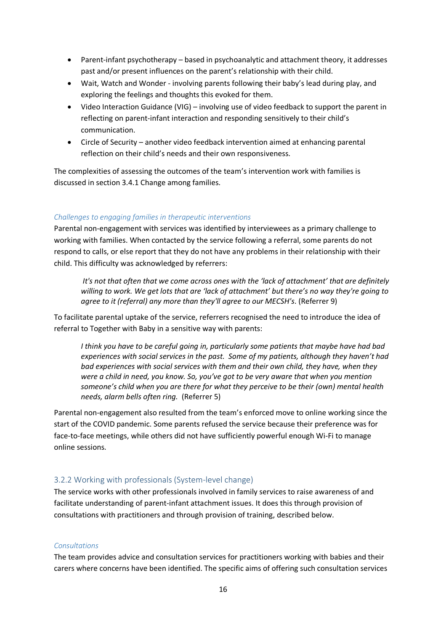- Parent-infant psychotherapy based in psychoanalytic and attachment theory, it addresses past and/or present influences on the parent's relationship with their child.
- Wait, Watch and Wonder involving parents following their baby's lead during play, and exploring the feelings and thoughts this evoked for them.
- Video Interaction Guidance (VIG) involving use of video feedback to support the parent in reflecting on parent-infant interaction and responding sensitively to their child's communication.
- Circle of Security another video feedback intervention aimed at enhancing parental reflection on their child's needs and their own responsiveness.

The complexities of assessing the outcomes of the team's intervention work with families is discussed in section 3.4.1 Change among families.

#### *Challenges to engaging families in therapeutic interventions*

Parental non-engagement with services was identified by interviewees as a primary challenge to working with families. When contacted by the service following a referral, some parents do not respond to calls, or else report that they do not have any problems in their relationship with their child. This difficulty was acknowledged by referrers:

*It's not that often that we come across ones with the 'lack of attachment' that are definitely willing to work. We get lots that are 'lack of attachment' but there's no way they're going to agree to it (referral) any more than they'll agree to our MECSH's*. (Referrer 9)

To facilitate parental uptake of the service, referrers recognised the need to introduce the idea of referral to Together with Baby in a sensitive way with parents:

*I think you have to be careful going in, particularly some patients that maybe have had bad experiences with social services in the past. Some of my patients, although they haven't had bad experiences with social services with them and their own child, they have, when they were a child in need, you know. So, you've got to be very aware that when you mention someone's child when you are there for what they perceive to be their (own) mental health needs, alarm bells often ring.* (Referrer 5)

Parental non-engagement also resulted from the team's enforced move to online working since the start of the COVID pandemic. Some parents refused the service because their preference was for face-to-face meetings, while others did not have sufficiently powerful enough Wi-Fi to manage online sessions.

## 3.2.2 Working with professionals (System-level change)

The service works with other professionals involved in family services to raise awareness of and facilitate understanding of parent-infant attachment issues. It does this through provision of consultations with practitioners and through provision of training, described below.

#### *Consultations*

The team provides advice and consultation services for practitioners working with babies and their carers where concerns have been identified. The specific aims of offering such consultation services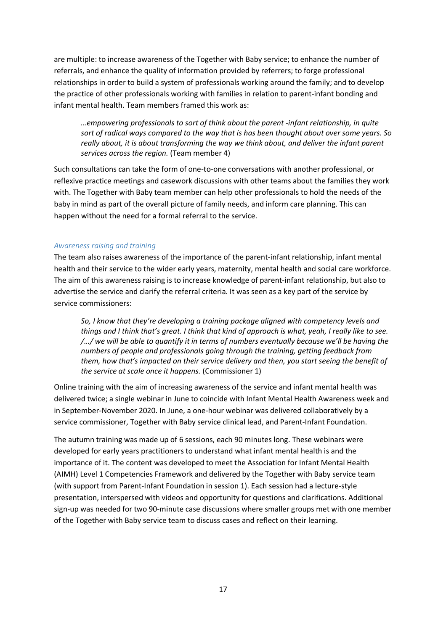are multiple: to increase awareness of the Together with Baby service; to enhance the number of referrals, and enhance the quality of information provided by referrers; to forge professional relationships in order to build a system of professionals working around the family; and to develop the practice of other professionals working with families in relation to parent-infant bonding and infant mental health. Team members framed this work as:

*…empowering professionals to sort of think about the parent -infant relationship, in quite sort of radical ways compared to the way that is has been thought about over some years. So really about, it is about transforming the way we think about, and deliver the infant parent services across the region.* (Team member 4)

Such consultations can take the form of one-to-one conversations with another professional, or reflexive practice meetings and casework discussions with other teams about the families they work with. The Together with Baby team member can help other professionals to hold the needs of the baby in mind as part of the overall picture of family needs, and inform care planning. This can happen without the need for a formal referral to the service.

#### *Awareness raising and training*

The team also raises awareness of the importance of the parent-infant relationship, infant mental health and their service to the wider early years, maternity, mental health and social care workforce. The aim of this awareness raising is to increase knowledge of parent-infant relationship, but also to advertise the service and clarify the referral criteria. It was seen as a key part of the service by service commissioners:

*So, I know that they're developing a training package aligned with competency levels and things and I think that's great. I think that kind of approach is what, yeah, I really like to see. /…/ we will be able to quantify it in terms of numbers eventually because we'll be having the numbers of people and professionals going through the training, getting feedback from them, how that's impacted on their service delivery and then, you start seeing the benefit of the service at scale once it happens.* (Commissioner 1)

Online training with the aim of increasing awareness of the service and infant mental health was delivered twice; a single webinar in June to coincide with Infant Mental Health Awareness week and in September-November 2020. In June, a one-hour webinar was delivered collaboratively by a service commissioner, Together with Baby service clinical lead, and Parent-Infant Foundation.

The autumn training was made up of 6 sessions, each 90 minutes long. These webinars were developed for early years practitioners to understand what infant mental health is and the importance of it. The content was developed to meet the Association for Infant Mental Health (AIMH) Level 1 Competencies Framework and delivered by the Together with Baby service team (with support from Parent-Infant Foundation in session 1). Each session had a lecture-style presentation, interspersed with videos and opportunity for questions and clarifications. Additional sign-up was needed for two 90-minute case discussions where smaller groups met with one member of the Together with Baby service team to discuss cases and reflect on their learning.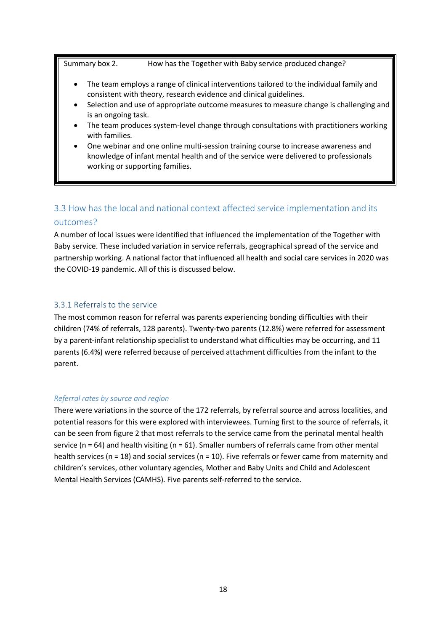Summary box 2. How has the Together with Baby service produced change?

- The team employs a range of clinical interventions tailored to the individual family and consistent with theory, research evidence and clinical guidelines.
- Selection and use of appropriate outcome measures to measure change is challenging and is an ongoing task.
- The team produces system-level change through consultations with practitioners working with families.
- One webinar and one online multi-session training course to increase awareness and knowledge of infant mental health and of the service were delivered to professionals working or supporting families.

# 3.3 How has the local and national context affected service implementation and its outcomes?

A number of local issues were identified that influenced the implementation of the Together with Baby service. These included variation in service referrals, geographical spread of the service and partnership working. A national factor that influenced all health and social care services in 2020 was the COVID-19 pandemic. All of this is discussed below.

## 3.3.1 Referrals to the service

The most common reason for referral was parents experiencing bonding difficulties with their children (74% of referrals, 128 parents). Twenty-two parents (12.8%) were referred for assessment by a parent-infant relationship specialist to understand what difficulties may be occurring, and 11 parents (6.4%) were referred because of perceived attachment difficulties from the infant to the parent.

## *Referral rates by source and region*

There were variations in the source of the 172 referrals, by referral source and across localities, and potential reasons for this were explored with interviewees. Turning first to the source of referrals, it can be seen from figure 2 that most referrals to the service came from the perinatal mental health service ( $n = 64$ ) and health visiting ( $n = 61$ ). Smaller numbers of referrals came from other mental health services (n = 18) and social services (n = 10). Five referrals or fewer came from maternity and children's services, other voluntary agencies, Mother and Baby Units and Child and Adolescent Mental Health Services (CAMHS). Five parents self-referred to the service.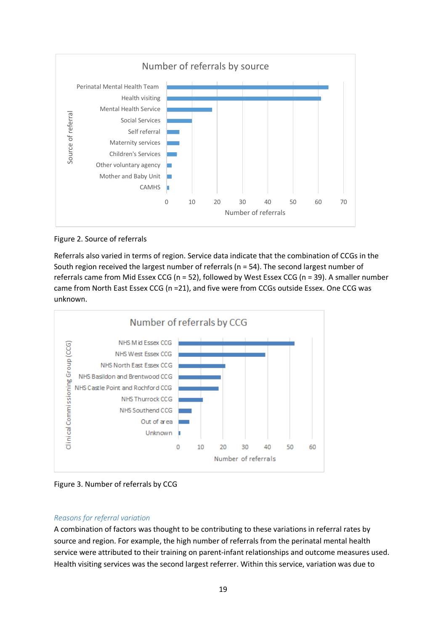

Figure 2. Source of referrals

Referrals also varied in terms of region. Service data indicate that the combination of CCGs in the South region received the largest number of referrals (n = 54). The second largest number of referrals came from Mid Essex CCG (n = 52), followed by West Essex CCG (n = 39). A smaller number came from North East Essex CCG (n =21), and five were from CCGs outside Essex. One CCG was unknown.





#### *Reasons for referral variation*

A combination of factors was thought to be contributing to these variations in referral rates by source and region. For example, the high number of referrals from the perinatal mental health service were attributed to their training on parent-infant relationships and outcome measures used. Health visiting services was the second largest referrer. Within this service, variation was due to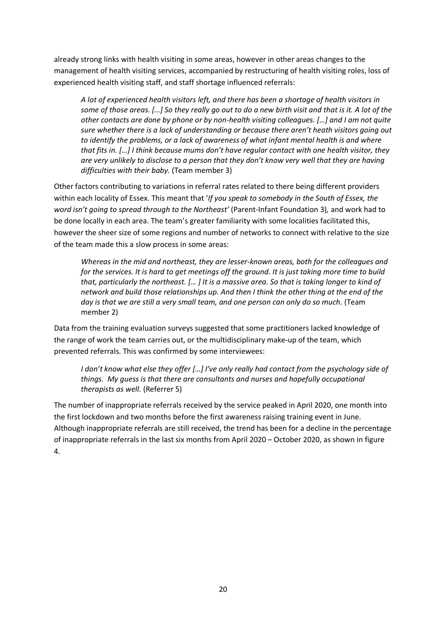already strong links with health visiting in some areas, however in other areas changes to the management of health visiting services, accompanied by restructuring of health visiting roles, loss of experienced health visiting staff, and staff shortage influenced referrals:

*A lot of experienced health visitors left, and there has been a shortage of health visitors in some of those areas. […] So they really go out to do a new birth visit and that is it. A lot of the other contacts are done by phone or by non-health visiting colleagues. […] and I am not quite sure whether there is a lack of understanding or because there aren't heath visitors going out to identify the problems, or a lack of awareness of what infant mental health is and where that fits in. […] I think because mums don't have regular contact with one health visitor, they are very unlikely to disclose to a person that they don't know very well that they are having difficulties with their baby.* (Team member 3)

Other factors contributing to variations in referral rates related to there being different providers within each locality of Essex. This meant that '*If you speak to somebody in the South of Essex, the word isn't going to spread through to the Northeast'* (Parent-Infant Foundation 3)*,* and work had to be done locally in each area. The team's greater familiarity with some localities facilitated this, however the sheer size of some regions and number of networks to connect with relative to the size of the team made this a slow process in some areas:

*Whereas in the mid and northeast, they are lesser-known areas, both for the colleagues and for the services. It is hard to get meetings off the ground. It is just taking more time to build that, particularly the northeast. [… ] It is a massive area. So that is taking longer to kind of network and build those relationships up. And then I think the other thing at the end of the*  day is that we are still a very small team, and one person can only do so much. (Team member 2)

Data from the training evaluation surveys suggested that some practitioners lacked knowledge of the range of work the team carries out, or the multidisciplinary make-up of the team, which prevented referrals. This was confirmed by some interviewees:

*I don't know what else they offer […] I've only really had contact from the psychology side of things. My guess is that there are consultants and nurses and hopefully occupational therapists as well.* (Referrer 5)

The number of inappropriate referrals received by the service peaked in April 2020, one month into the first lockdown and two months before the first awareness raising training event in June. Although inappropriate referrals are still received, the trend has been for a decline in the percentage of inappropriate referrals in the last six months from April 2020 – October 2020, as shown in figure 4.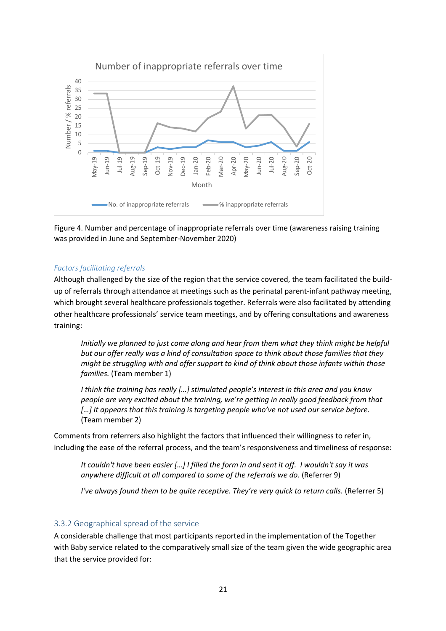

Figure 4. Number and percentage of inappropriate referrals over time (awareness raising training was provided in June and September-November 2020)

#### *Factors facilitating referrals*

Although challenged by the size of the region that the service covered, the team facilitated the buildup of referrals through attendance at meetings such as the perinatal parent-infant pathway meeting, which brought several healthcare professionals together. Referrals were also facilitated by attending other healthcare professionals' service team meetings, and by offering consultations and awareness training:

*Initially we planned to just come along and hear from them what they think might be helpful but our offer really was a kind of consultation space to think about those families that they might be struggling with and offer support to kind of think about those infants within those families.* (Team member 1)

*I think the training has really […] stimulated people's interest in this area and you know people are very excited about the training, we're getting in really good feedback from that […] It appears that this training is targeting people who've not used our service before.* (Team member 2)

Comments from referrers also highlight the factors that influenced their willingness to refer in, including the ease of the referral process, and the team's responsiveness and timeliness of response:

*It couldn't have been easier […] I filled the form in and sent it off. I wouldn't say it was anywhere difficult at all compared to some of the referrals we do.* (Referrer 9)

*I've always found them to be quite receptive. They're very quick to return calls.* (Referrer 5)

## 3.3.2 Geographical spread of the service

A considerable challenge that most participants reported in the implementation of the Together with Baby service related to the comparatively small size of the team given the wide geographic area that the service provided for: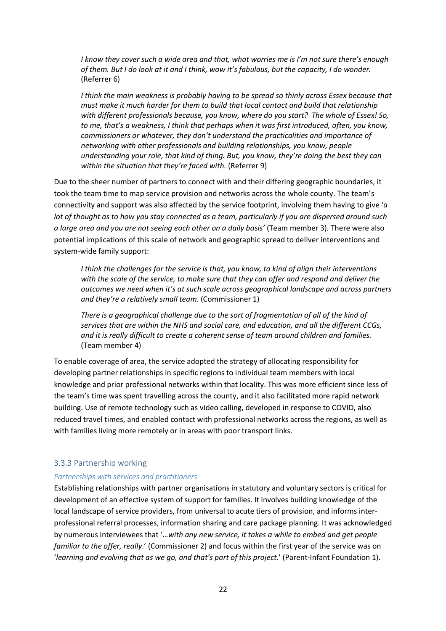*I know they cover such a wide area and that, what worries me is I'm not sure there's enough of them. But I do look at it and I think, wow it's fabulous, but the capacity, I do wonder.* (Referrer 6)

*I think the main weakness is probably having to be spread so thinly across Essex because that must make it much harder for them to build that local contact and build that relationship with different professionals because, you know, where do you start? The whole of Essex! So, to me, that's a weakness, I think that perhaps when it was first introduced, often, you know, commissioners or whatever, they don't understand the practicalities and importance of networking with other professionals and building relationships, you know, people understanding your role, that kind of thing. But, you know, they're doing the best they can within the situation that they're faced with.* (Referrer 9)

Due to the sheer number of partners to connect with and their differing geographic boundaries, it took the team time to map service provision and networks across the whole county. The team's connectivity and support was also affected by the service footprint, involving them having to give '*a lot of thought as to how you stay connected as a team, particularly if you are dispersed around such a large area and you are not seeing each other on a daily basis'* (Team member 3)*.* There were also potential implications of this scale of network and geographic spread to deliver interventions and system-wide family support:

*I think the challenges for the service is that, you know, to kind of align their interventions with the scale of the service, to make sure that they can offer and respond and deliver the outcomes we need when it's at such scale across geographical landscape and across partners and they're a relatively small team.* (Commissioner 1)

*There is a geographical challenge due to the sort of fragmentation of all of the kind of services that are within the NHS and social care, and education, and all the different CCGs, and it is really difficult to create a coherent sense of team around children and families.* (Team member 4)

To enable coverage of area, the service adopted the strategy of allocating responsibility for developing partner relationships in specific regions to individual team members with local knowledge and prior professional networks within that locality. This was more efficient since less of the team's time was spent travelling across the county, and it also facilitated more rapid network building. Use of remote technology such as video calling, developed in response to COVID, also reduced travel times, and enabled contact with professional networks across the regions, as well as with families living more remotely or in areas with poor transport links.

## 3.3.3 Partnership working

#### *Partnerships with services and practitioners*

Establishing relationships with partner organisations in statutory and voluntary sectors is critical for development of an effective system of support for families. It involves building knowledge of the local landscape of service providers, from universal to acute tiers of provision, and informs interprofessional referral processes, information sharing and care package planning. It was acknowledged by numerous interviewees that '…*with any new service, it takes a while to embed and get people familiar to the offer, really*.' (Commissioner 2) and focus within the first year of the service was on '*learning and evolving that as we go, and that's part of this project.*' (Parent-Infant Foundation 1).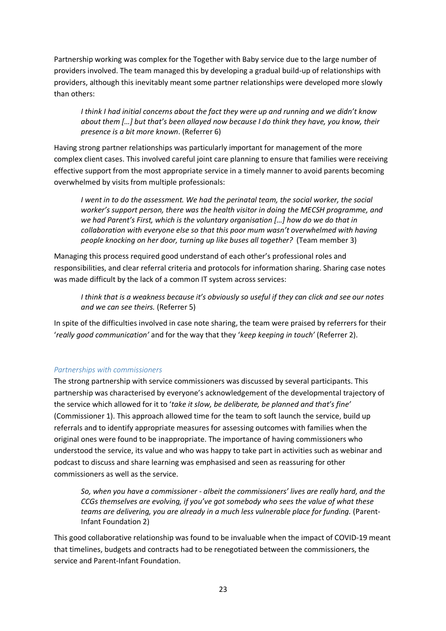Partnership working was complex for the Together with Baby service due to the large number of providers involved. The team managed this by developing a gradual build-up of relationships with providers, although this inevitably meant some partner relationships were developed more slowly than others:

*I think I had initial concerns about the fact they were up and running and we didn't know about them […] but that's been allayed now because I do think they have, you know, their presence is a bit more known*. (Referrer 6)

Having strong partner relationships was particularly important for management of the more complex client cases. This involved careful joint care planning to ensure that families were receiving effective support from the most appropriate service in a timely manner to avoid parents becoming overwhelmed by visits from multiple professionals:

*I went in to do the assessment. We had the perinatal team, the social worker, the social worker's support person, there was the health visitor in doing the MECSH programme, and we had Parent's First, which is the voluntary organisation […] how do we do that in collaboration with everyone else so that this poor mum wasn't overwhelmed with having people knocking on her door, turning up like buses all together?* (Team member 3)

Managing this process required good understand of each other's professional roles and responsibilities, and clear referral criteria and protocols for information sharing. Sharing case notes was made difficult by the lack of a common IT system across services:

*I think that is a weakness because it's obviously so useful if they can click and see our notes and we can see theirs.* (Referrer 5)

In spite of the difficulties involved in case note sharing, the team were praised by referrers for their '*really good communication'* and for the way that they '*keep keeping in touch'* (Referrer 2).

## *Partnerships with commissioners*

The strong partnership with service commissioners was discussed by several participants. This partnership was characterised by everyone's acknowledgement of the developmental trajectory of the service which allowed for it to '*take it slow, be deliberate, be planned and that's fine'* (Commissioner 1). This approach allowed time for the team to soft launch the service, build up referrals and to identify appropriate measures for assessing outcomes with families when the original ones were found to be inappropriate. The importance of having commissioners who understood the service, its value and who was happy to take part in activities such as webinar and podcast to discuss and share learning was emphasised and seen as reassuring for other commissioners as well as the service.

*So, when you have a commissioner - albeit the commissioners' lives are really hard, and the CCGs themselves are evolving, if you've got somebody who sees the value of what these teams are delivering, you are already in a much less vulnerable place for funding.* (Parent-Infant Foundation 2)

This good collaborative relationship was found to be invaluable when the impact of COVID-19 meant that timelines, budgets and contracts had to be renegotiated between the commissioners, the service and Parent-Infant Foundation.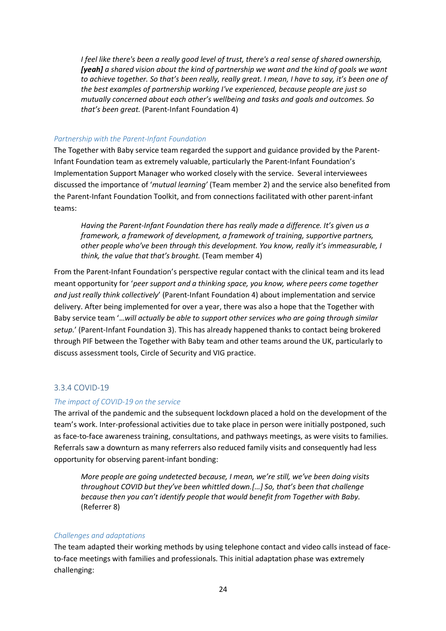*I feel like there's been a really good level of trust, there's a real sense of shared ownership, [yeah] a shared vision about the kind of partnership we want and the kind of goals we want to achieve together. So that's been really, really great. I mean, I have to say, it's been one of the best examples of partnership working I've experienced, because people are just so mutually concerned about each other's wellbeing and tasks and goals and outcomes. So that's been great.* (Parent-Infant Foundation 4)

## *Partnership with the Parent-Infant Foundation*

The Together with Baby service team regarded the support and guidance provided by the Parent-Infant Foundation team as extremely valuable, particularly the Parent-Infant Foundation's Implementation Support Manager who worked closely with the service. Several interviewees discussed the importance of '*mutual learning'* (Team member 2) and the service also benefited from the Parent-Infant Foundation Toolkit, and from connections facilitated with other parent-infant teams:

*Having the Parent-Infant Foundation there has really made a difference. It's given us a framework, a framework of development, a framework of training, supportive partners, other people who've been through this development. You know, really it's immeasurable, I think, the value that that's brought.* (Team member 4)

From the Parent-Infant Foundation's perspective regular contact with the clinical team and its lead meant opportunity for '*peer support and a thinking space, you know, where peers come together and just really think collectively*' (Parent-Infant Foundation 4) about implementation and service delivery. After being implemented for over a year, there was also a hope that the Together with Baby service team '…*will actually be able to support other services who are going through similar setup.*' (Parent-Infant Foundation 3). This has already happened thanks to contact being brokered through PIF between the Together with Baby team and other teams around the UK, particularly to discuss assessment tools, Circle of Security and VIG practice.

## 3.3.4 COVID-19

#### *The impact of COVID-19 on the service*

The arrival of the pandemic and the subsequent lockdown placed a hold on the development of the team's work. Inter-professional activities due to take place in person were initially postponed, such as face-to-face awareness training, consultations, and pathways meetings, as were visits to families. Referrals saw a downturn as many referrers also reduced family visits and consequently had less opportunity for observing parent-infant bonding:

*More people are going undetected because, I mean, we're still, we've been doing visits throughout COVID but they've been whittled down.[…] So, that's been that challenge because then you can't identify people that would benefit from Together with Baby.* (Referrer 8)

#### *Challenges and adaptations*

The team adapted their working methods by using telephone contact and video calls instead of faceto-face meetings with families and professionals. This initial adaptation phase was extremely challenging: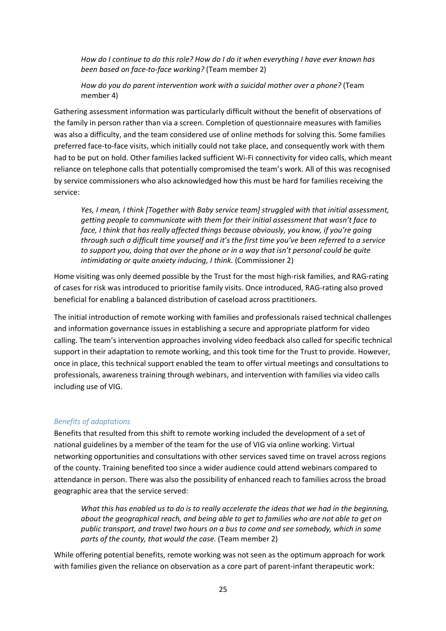*How do I continue to do this role? How do I do it when everything I have ever known has been based on face-to-face working?* (Team member 2)

*How do you do parent intervention work with a suicidal mother over a phone?* (Team member 4)

Gathering assessment information was particularly difficult without the benefit of observations of the family in person rather than via a screen. Completion of questionnaire measures with families was also a difficulty, and the team considered use of online methods for solving this. Some families preferred face-to-face visits, which initially could not take place, and consequently work with them had to be put on hold. Other families lacked sufficient Wi-Fi connectivity for video calls, which meant reliance on telephone calls that potentially compromised the team's work. All of this was recognised by service commissioners who also acknowledged how this must be hard for families receiving the service:

*Yes, I mean, I think [Together with Baby service team] struggled with that initial assessment, getting people to communicate with them for their initial assessment that wasn't face to face, I think that has really affected things because obviously, you know, if you're going through such a difficult time yourself and it's the first time you've been referred to a service to support you, doing that over the phone or in a way that isn't personal could be quite intimidating or quite anxiety inducing, I think.* (Commissioner 2)

Home visiting was only deemed possible by the Trust for the most high-risk families, and RAG-rating of cases for risk was introduced to prioritise family visits. Once introduced, RAG-rating also proved beneficial for enabling a balanced distribution of caseload across practitioners.

The initial introduction of remote working with families and professionals raised technical challenges and information governance issues in establishing a secure and appropriate platform for video calling. The team's intervention approaches involving video feedback also called for specific technical support in their adaptation to remote working, and this took time for the Trust to provide. However, once in place, this technical support enabled the team to offer virtual meetings and consultations to professionals, awareness training through webinars, and intervention with families via video calls including use of VIG.

#### *Benefits of adaptations*

Benefits that resulted from this shift to remote working included the development of a set of national guidelines by a member of the team for the use of VIG via online working. Virtual networking opportunities and consultations with other services saved time on travel across regions of the county. Training benefited too since a wider audience could attend webinars compared to attendance in person. There was also the possibility of enhanced reach to families across the broad geographic area that the service served:

*What this has enabled us to do is to really accelerate the ideas that we had in the beginning, about the geographical reach, and being able to get to families who are not able to get on public transport, and travel two hours on a bus to come and see somebody, which in some parts of the county, that would the case*. (Team member 2)

While offering potential benefits, remote working was not seen as the optimum approach for work with families given the reliance on observation as a core part of parent-infant therapeutic work: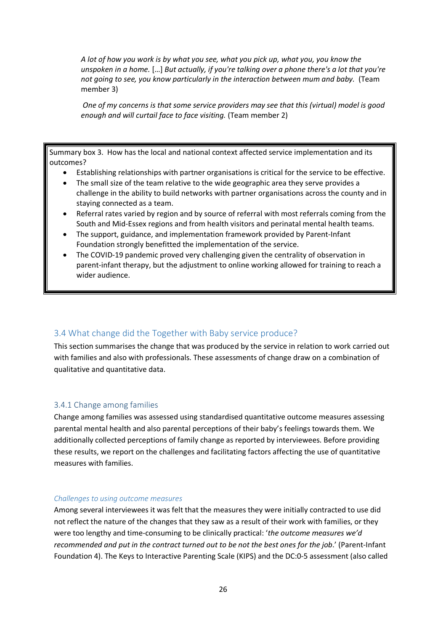*A lot of how you work is by what you see, what you pick up, what you, you know the unspoken in a home.* […] *But actually, if you're talking over a phone there's a lot that you're not going to see, you know particularly in the interaction between mum and baby.* (Team member 3)

*One of my concerns is that some service providers may see that this (virtual) model is good enough and will curtail face to face visiting.* (Team member 2)

Summary box 3. How has the local and national context affected service implementation and its outcomes?

- Establishing relationships with partner organisations is critical for the service to be effective.
- The small size of the team relative to the wide geographic area they serve provides a challenge in the ability to build networks with partner organisations across the county and in staying connected as a team.
- Referral rates varied by region and by source of referral with most referrals coming from the South and Mid-Essex regions and from health visitors and perinatal mental health teams.
- The support, guidance, and implementation framework provided by Parent-Infant Foundation strongly benefitted the implementation of the service.
- The COVID-19 pandemic proved very challenging given the centrality of observation in parent-infant therapy, but the adjustment to online working allowed for training to reach a wider audience.

## 3.4 What change did the Together with Baby service produce?

This section summarises the change that was produced by the service in relation to work carried out with families and also with professionals. These assessments of change draw on a combination of qualitative and quantitative data.

#### 3.4.1 Change among families

Change among families was assessed using standardised quantitative outcome measures assessing parental mental health and also parental perceptions of their baby's feelings towards them. We additionally collected perceptions of family change as reported by interviewees. Before providing these results, we report on the challenges and facilitating factors affecting the use of quantitative measures with families.

#### *Challenges to using outcome measures*

Among several interviewees it was felt that the measures they were initially contracted to use did not reflect the nature of the changes that they saw as a result of their work with families, or they were too lengthy and time-consuming to be clinically practical: '*the outcome measures we'd recommended and put in the contract turned out to be not the best ones for the job*.' (Parent-Infant Foundation 4). The Keys to Interactive Parenting Scale (KIPS) and the DC:0-5 assessment (also called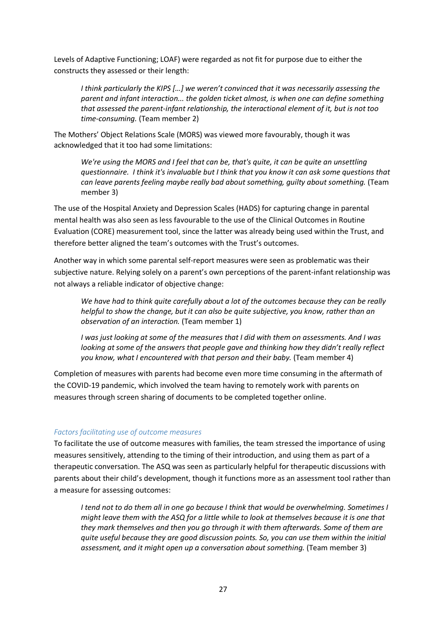Levels of Adaptive Functioning; LOAF) were regarded as not fit for purpose due to either the constructs they assessed or their length:

*I think particularly the KIPS […] we weren't convinced that it was necessarily assessing the parent and infant interaction... the golden ticket almost, is when one can define something that assessed the parent-infant relationship, the interactional element of it, but is not too time-consuming.* (Team member 2)

The Mothers' Object Relations Scale (MORS) was viewed more favourably, though it was acknowledged that it too had some limitations:

*We're using the MORS and I feel that can be, that's quite, it can be quite an unsettling questionnaire. I think it's invaluable but I think that you know it can ask some questions that can leave parents feeling maybe really bad about something, guilty about something.* (Team member 3)

The use of the Hospital Anxiety and Depression Scales (HADS) for capturing change in parental mental health was also seen as less favourable to the use of the Clinical Outcomes in Routine Evaluation (CORE) measurement tool, since the latter was already being used within the Trust, and therefore better aligned the team's outcomes with the Trust's outcomes.

Another way in which some parental self-report measures were seen as problematic was their subjective nature. Relying solely on a parent's own perceptions of the parent-infant relationship was not always a reliable indicator of objective change:

*We have had to think quite carefully about a lot of the outcomes because they can be really helpful to show the change, but it can also be quite subjective, you know, rather than an observation of an interaction.* (Team member 1)

*I was just looking at some of the measures that I did with them on assessments. And I was looking at some of the answers that people gave and thinking how they didn't really reflect you know, what I encountered with that person and their baby.* (Team member 4)

Completion of measures with parents had become even more time consuming in the aftermath of the COVID-19 pandemic, which involved the team having to remotely work with parents on measures through screen sharing of documents to be completed together online.

## *Factors facilitating use of outcome measures*

To facilitate the use of outcome measures with families, the team stressed the importance of using measures sensitively, attending to the timing of their introduction, and using them as part of a therapeutic conversation. The ASQ was seen as particularly helpful for therapeutic discussions with parents about their child's development, though it functions more as an assessment tool rather than a measure for assessing outcomes:

*I tend not to do them all in one go because I think that would be overwhelming. Sometimes I might leave them with the ASQ for a little while to look at themselves because it is one that they mark themselves and then you go through it with them afterwards. Some of them are quite useful because they are good discussion points. So, you can use them within the initial assessment, and it might open up a conversation about something.* (Team member 3)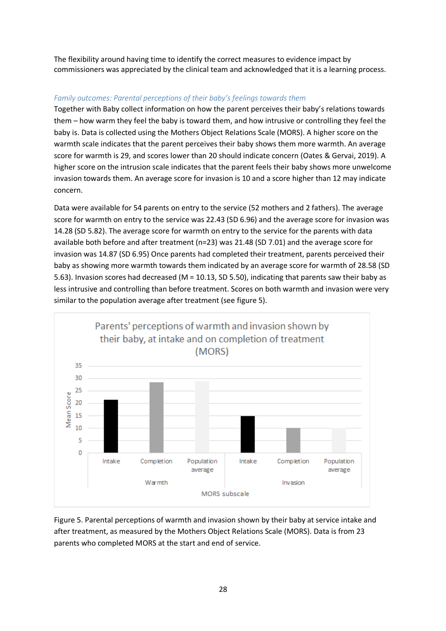The flexibility around having time to identify the correct measures to evidence impact by commissioners was appreciated by the clinical team and acknowledged that it is a learning process.

# *Family outcomes: Parental perceptions of their baby's feelings towards them*

Together with Baby collect information on how the parent perceives their baby's relations towards them – how warm they feel the baby is toward them, and how intrusive or controlling they feel the baby is. Data is collected using the Mothers Object Relations Scale (MORS). A higher score on the warmth scale indicates that the parent perceives their baby shows them more warmth. An average score for warmth is 29, and scores lower than 20 should indicate concern (Oates & Gervai, 2019). A higher score on the intrusion scale indicates that the parent feels their baby shows more unwelcome invasion towards them. An average score for invasion is 10 and a score higher than 12 may indicate concern.

Data were available for 54 parents on entry to the service (52 mothers and 2 fathers). The average score for warmth on entry to the service was 22.43 (SD 6.96) and the average score for invasion was 14.28 (SD 5.82). The average score for warmth on entry to the service for the parents with data available both before and after treatment (n=23) was 21.48 (SD 7.01) and the average score for invasion was 14.87 (SD 6.95) Once parents had completed their treatment, parents perceived their baby as showing more warmth towards them indicated by an average score for warmth of 28.58 (SD 5.63). Invasion scores had decreased (M = 10.13, SD 5.50), indicating that parents saw their baby as less intrusive and controlling than before treatment. Scores on both warmth and invasion were very similar to the population average after treatment (see figure 5).



Figure 5. Parental perceptions of warmth and invasion shown by their baby at service intake and after treatment, as measured by the Mothers Object Relations Scale (MORS). Data is from 23 parents who completed MORS at the start and end of service.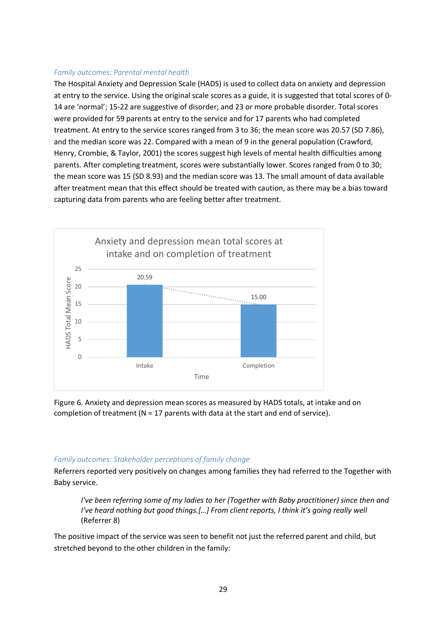#### *Family outcomes: Parental mental health*

The Hospital Anxiety and Depression Scale (HADS) is used to collect data on anxiety and depression at entry to the service. Using the original scale scores as a guide, it is suggested that total scores of 0- 14 are 'normal'; 15-22 are suggestive of disorder; and 23 or more probable disorder. Total scores were provided for 59 parents at entry to the service and for 17 parents who had completed treatment. At entry to the service scores ranged from 3 to 36; the mean score was 20.57 (SD 7.86), and the median score was 22. Compared with a mean of 9 in the general population (Crawford, Henry, Crombie, & Taylor, 2001) the scores suggest high levels of mental health difficulties among parents. After completing treatment, scores were substantially lower. Scores ranged from 0 to 30; the mean score was 15 (SD 8.93) and the median score was 13. The small amount of data available after treatment mean that this effect should be treated with caution, as there may be a bias toward capturing data from parents who are feeling better after treatment.



Figure 6. Anxiety and depression mean scores as measured by HADS totals, at intake and on completion of treatment ( $N = 17$  parents with data at the start and end of service).

#### *Family outcomes: Stakeholder perceptions of family change*

Referrers reported very positively on changes among families they had referred to the Together with Baby service.

*I've been referring some of my ladies to her (Together with Baby practitioner) since then and I've heard nothing but good things.[...] From client reports, I think it's going really well* (Referrer 8)

The positive impact of the service was seen to benefit not just the referred parent and child, but stretched beyond to the other children in the family: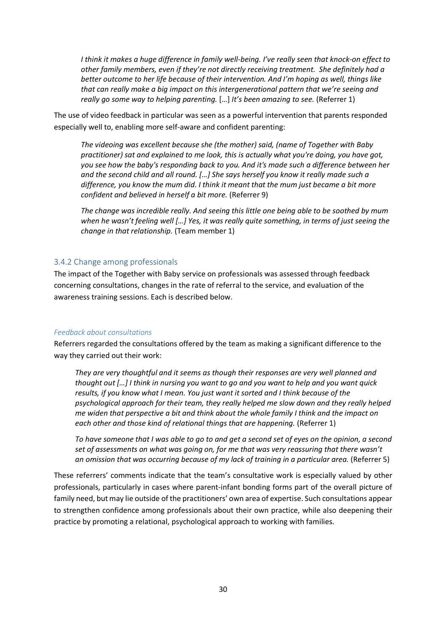*I think it makes a huge difference in family well-being. I've really seen that knock-on effect to other family members, even if they're not directly receiving treatment. She definitely had a better outcome to her life because of their intervention. And I'm hoping as well, things like that can really make a big impact on this intergenerational pattern that we're seeing and really go some way to helping parenting.* […] *It's been amazing to see.* (Referrer 1)

The use of video feedback in particular was seen as a powerful intervention that parents responded especially well to, enabling more self-aware and confident parenting:

*The videoing was excellent because she (the mother) said, (name of Together with Baby practitioner) sat and explained to me look, this is actually what you're doing, you have got, you see how the baby's responding back to you. And it's made such a difference between her and the second child and all round. […] She says herself you know it really made such a difference, you know the mum did. I think it meant that the mum just became a bit more confident and believed in herself a bit more.* (Referrer 9)

*The change was incredible really. And seeing this little one being able to be soothed by mum when he wasn't feeling well […] Yes, it was really quite something, in terms of just seeing the change in that relationship.* (Team member 1)

#### 3.4.2 Change among professionals

The impact of the Together with Baby service on professionals was assessed through feedback concerning consultations, changes in the rate of referral to the service, and evaluation of the awareness training sessions. Each is described below.

#### *Feedback about consultations*

Referrers regarded the consultations offered by the team as making a significant difference to the way they carried out their work:

*They are very thoughtful and it seems as though their responses are very well planned and thought out […] I think in nursing you want to go and you want to help and you want quick results, if you know what I mean. You just want it sorted and I think because of the psychological approach for their team, they really helped me slow down and they really helped me widen that perspective a bit and think about the whole family I think and the impact on each other and those kind of relational things that are happening.* (Referrer 1)

*To have someone that I was able to go to and get a second set of eyes on the opinion, a second set of assessments on what was going on, for me that was very reassuring that there wasn't*  an omission that was occurring because of my lack of training in a particular area. (Referrer 5)

These referrers' comments indicate that the team's consultative work is especially valued by other professionals, particularly in cases where parent-infant bonding forms part of the overall picture of family need, but may lie outside of the practitioners' own area of expertise. Such consultations appear to strengthen confidence among professionals about their own practice, while also deepening their practice by promoting a relational, psychological approach to working with families.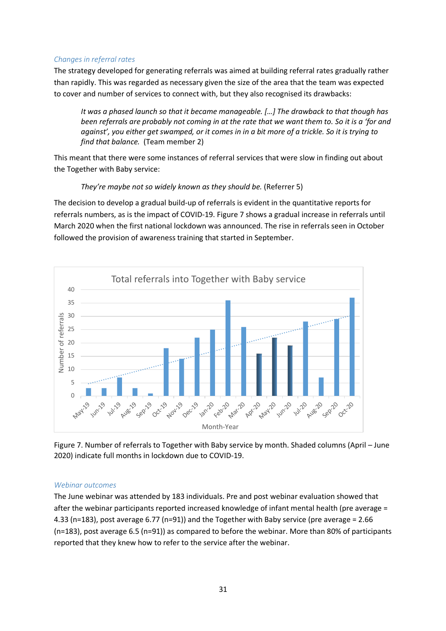## *Changes in referral rates*

The strategy developed for generating referrals was aimed at building referral rates gradually rather than rapidly. This was regarded as necessary given the size of the area that the team was expected to cover and number of services to connect with, but they also recognised its drawbacks:

*It was a phased launch so that it became manageable. […] The drawback to that though has been referrals are probably not coming in at the rate that we want them to. So it is a 'for and against', you either get swamped, or it comes in in a bit more of a trickle. So it is trying to find that balance.* (Team member 2)

This meant that there were some instances of referral services that were slow in finding out about the Together with Baby service:

#### *They're maybe not so widely known as they should be.* (Referrer 5)

The decision to develop a gradual build-up of referrals is evident in the quantitative reports for referrals numbers, as is the impact of COVID-19. Figure 7 shows a gradual increase in referrals until March 2020 when the first national lockdown was announced. The rise in referrals seen in October followed the provision of awareness training that started in September.



Figure 7. Number of referrals to Together with Baby service by month. Shaded columns (April – June 2020) indicate full months in lockdown due to COVID-19.

## *Webinar outcomes*

The June webinar was attended by 183 individuals. Pre and post webinar evaluation showed that after the webinar participants reported increased knowledge of infant mental health (pre average = 4.33 (n=183), post average 6.77 (n=91)) and the Together with Baby service (pre average = 2.66 (n=183), post average 6.5 (n=91)) as compared to before the webinar. More than 80% of participants reported that they knew how to refer to the service after the webinar.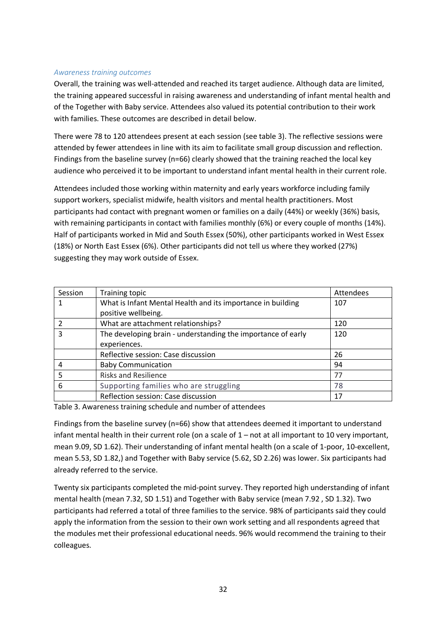#### *Awareness training outcomes*

Overall, the training was well-attended and reached its target audience. Although data are limited, the training appeared successful in raising awareness and understanding of infant mental health and of the Together with Baby service. Attendees also valued its potential contribution to their work with families. These outcomes are described in detail below.

There were 78 to 120 attendees present at each session (see table 3). The reflective sessions were attended by fewer attendees in line with its aim to facilitate small group discussion and reflection. Findings from the baseline survey (n=66) clearly showed that the training reached the local key audience who perceived it to be important to understand infant mental health in their current role.

Attendees included those working within maternity and early years workforce including family support workers, specialist midwife, health visitors and mental health practitioners. Most participants had contact with pregnant women or families on a daily (44%) or weekly (36%) basis, with remaining participants in contact with families monthly (6%) or every couple of months (14%). Half of participants worked in Mid and South Essex (50%), other participants worked in West Essex (18%) or North East Essex (6%). Other participants did not tell us where they worked (27%) suggesting they may work outside of Essex.

| Session | Training topic                                               | Attendees |
|---------|--------------------------------------------------------------|-----------|
|         | What is Infant Mental Health and its importance in building  | 107       |
|         | positive wellbeing.                                          |           |
|         | What are attachment relationships?                           | 120       |
| 3       | The developing brain - understanding the importance of early | 120       |
|         | experiences.                                                 |           |
|         | Reflective session: Case discussion                          | 26        |
| 4       | <b>Baby Communication</b>                                    | 94        |
| 5       | <b>Risks and Resilience</b>                                  | 77        |
| 6       | Supporting families who are struggling                       | 78        |
|         | Reflection session: Case discussion                          | 17        |

Table 3. Awareness training schedule and number of attendees

Findings from the baseline survey (n=66) show that attendees deemed it important to understand infant mental health in their current role (on a scale of  $1$  – not at all important to 10 very important, mean 9.09, SD 1.62). Their understanding of infant mental health (on a scale of 1-poor, 10-excellent, mean 5.53, SD 1.82,) and Together with Baby service (5.62, SD 2.26) was lower. Six participants had already referred to the service.

Twenty six participants completed the mid-point survey. They reported high understanding of infant mental health (mean 7.32, SD 1.51) and Together with Baby service (mean 7.92 , SD 1.32). Two participants had referred a total of three families to the service. 98% of participants said they could apply the information from the session to their own work setting and all respondents agreed that the modules met their professional educational needs. 96% would recommend the training to their colleagues.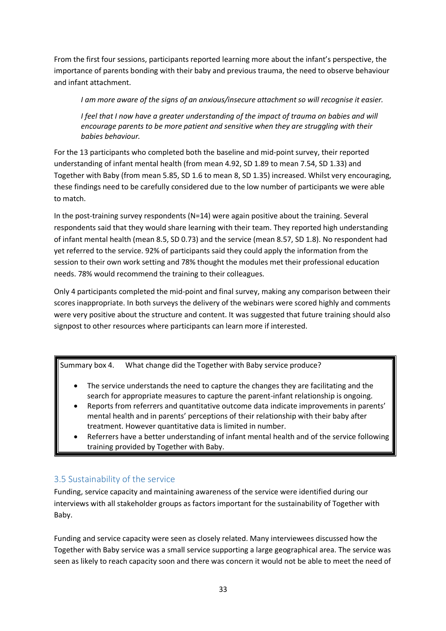From the first four sessions, participants reported learning more about the infant's perspective, the importance of parents bonding with their baby and previous trauma, the need to observe behaviour and infant attachment.

*I am more aware of the signs of an anxious/insecure attachment so will recognise it easier.* 

*I* feel that *I* now have a greater understanding of the impact of trauma on babies and will *encourage parents to be more patient and sensitive when they are struggling with their babies behaviour.*

For the 13 participants who completed both the baseline and mid-point survey, their reported understanding of infant mental health (from mean 4.92, SD 1.89 to mean 7.54, SD 1.33) and Together with Baby (from mean 5.85, SD 1.6 to mean 8, SD 1.35) increased. Whilst very encouraging, these findings need to be carefully considered due to the low number of participants we were able to match.

In the post-training survey respondents (N=14) were again positive about the training. Several respondents said that they would share learning with their team. They reported high understanding of infant mental health (mean 8.5, SD 0.73) and the service (mean 8.57, SD 1.8). No respondent had yet referred to the service. 92% of participants said they could apply the information from the session to their own work setting and 78% thought the modules met their professional education needs. 78% would recommend the training to their colleagues.

Only 4 participants completed the mid-point and final survey, making any comparison between their scores inappropriate. In both surveys the delivery of the webinars were scored highly and comments were very positive about the structure and content. It was suggested that future training should also signpost to other resources where participants can learn more if interested.

Summary box 4. What change did the Together with Baby service produce?

- The service understands the need to capture the changes they are facilitating and the search for appropriate measures to capture the parent-infant relationship is ongoing.
- Reports from referrers and quantitative outcome data indicate improvements in parents' mental health and in parents' perceptions of their relationship with their baby after treatment. However quantitative data is limited in number.
- Referrers have a better understanding of infant mental health and of the service following training provided by Together with Baby.

# 3.5 Sustainability of the service

Funding, service capacity and maintaining awareness of the service were identified during our interviews with all stakeholder groups as factors important for the sustainability of Together with Baby.

Funding and service capacity were seen as closely related. Many interviewees discussed how the Together with Baby service was a small service supporting a large geographical area. The service was seen as likely to reach capacity soon and there was concern it would not be able to meet the need of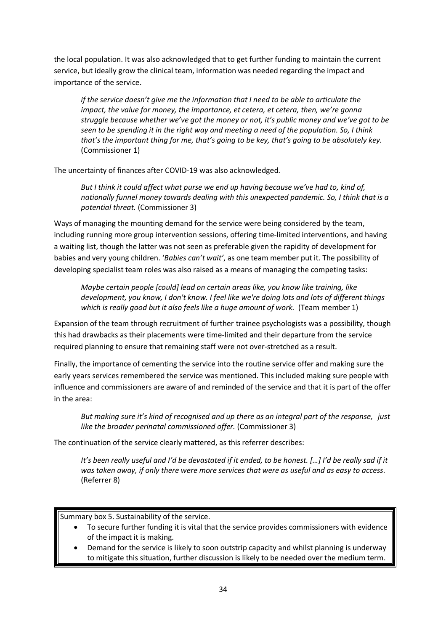the local population. It was also acknowledged that to get further funding to maintain the current service, but ideally grow the clinical team, information was needed regarding the impact and importance of the service.

*if the service doesn't give me the information that I need to be able to articulate the impact, the value for money, the importance, et cetera, et cetera, then, we're gonna struggle because whether we've got the money or not, it's public money and we've got to be seen to be spending it in the right way and meeting a need of the population. So, I think that's the important thing for me, that's going to be key, that's going to be absolutely key.* (Commissioner 1)

The uncertainty of finances after COVID-19 was also acknowledged.

*But I think it could affect what purse we end up having because we've had to, kind of, nationally funnel money towards dealing with this unexpected pandemic. So, I think that is a potential threat.* (Commissioner 3)

Ways of managing the mounting demand for the service were being considered by the team, including running more group intervention sessions, offering time-limited interventions, and having a waiting list, though the latter was not seen as preferable given the rapidity of development for babies and very young children. '*Babies can't wait'*, as one team member put it. The possibility of developing specialist team roles was also raised as a means of managing the competing tasks:

*Maybe certain people [could] lead on certain areas like, you know like training, like development, you know, I don't know. I feel like we're doing lots and lots of different things*  which is really good but it also feels like a huge amount of work. (Team member 1)

Expansion of the team through recruitment of further trainee psychologists was a possibility, though this had drawbacks as their placements were time-limited and their departure from the service required planning to ensure that remaining staff were not over-stretched as a result.

Finally, the importance of cementing the service into the routine service offer and making sure the early years services remembered the service was mentioned. This included making sure people with influence and commissioners are aware of and reminded of the service and that it is part of the offer in the area:

*But making sure it's kind of recognised and up there as an integral part of the response, just like the broader perinatal commissioned offer.* (Commissioner 3)

The continuation of the service clearly mattered, as this referrer describes:

*It's been really useful and I'd be devastated if it ended, to be honest. […] I'd be really sad if it was taken away, if only there were more services that were as useful and as easy to access*. (Referrer 8)

Summary box 5. Sustainability of the service.

- To secure further funding it is vital that the service provides commissioners with evidence of the impact it is making.
- Demand for the service is likely to soon outstrip capacity and whilst planning is underway to mitigate this situation, further discussion is likely to be needed over the medium term.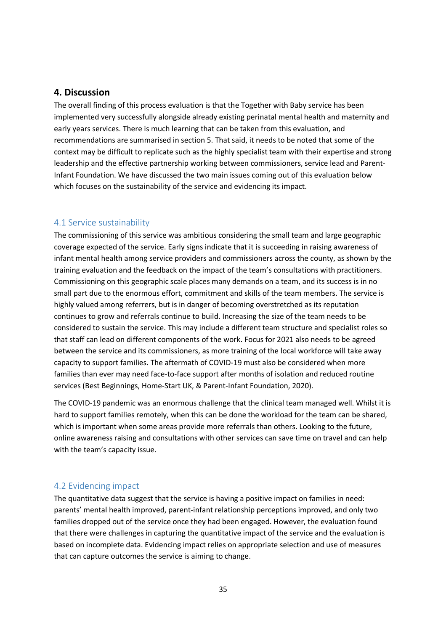# **4. Discussion**

The overall finding of this process evaluation is that the Together with Baby service has been implemented very successfully alongside already existing perinatal mental health and maternity and early years services. There is much learning that can be taken from this evaluation, and recommendations are summarised in section 5. That said, it needs to be noted that some of the context may be difficult to replicate such as the highly specialist team with their expertise and strong leadership and the effective partnership working between commissioners, service lead and Parent-Infant Foundation. We have discussed the two main issues coming out of this evaluation below which focuses on the sustainability of the service and evidencing its impact.

# 4.1 Service sustainability

The commissioning of this service was ambitious considering the small team and large geographic coverage expected of the service. Early signs indicate that it is succeeding in raising awareness of infant mental health among service providers and commissioners across the county, as shown by the training evaluation and the feedback on the impact of the team's consultations with practitioners. Commissioning on this geographic scale places many demands on a team, and its success is in no small part due to the enormous effort, commitment and skills of the team members. The service is highly valued among referrers, but is in danger of becoming overstretched as its reputation continues to grow and referrals continue to build. Increasing the size of the team needs to be considered to sustain the service. This may include a different team structure and specialist roles so that staff can lead on different components of the work. Focus for 2021 also needs to be agreed between the service and its commissioners, as more training of the local workforce will take away capacity to support families. The aftermath of COVID-19 must also be considered when more families than ever may need face-to-face support after months of isolation and reduced routine services (Best Beginnings, Home-Start UK, & Parent-Infant Foundation, 2020).

The COVID-19 pandemic was an enormous challenge that the clinical team managed well. Whilst it is hard to support families remotely, when this can be done the workload for the team can be shared, which is important when some areas provide more referrals than others. Looking to the future, online awareness raising and consultations with other services can save time on travel and can help with the team's capacity issue.

# 4.2 Evidencing impact

The quantitative data suggest that the service is having a positive impact on families in need: parents' mental health improved, parent-infant relationship perceptions improved, and only two families dropped out of the service once they had been engaged. However, the evaluation found that there were challenges in capturing the quantitative impact of the service and the evaluation is based on incomplete data. Evidencing impact relies on appropriate selection and use of measures that can capture outcomes the service is aiming to change.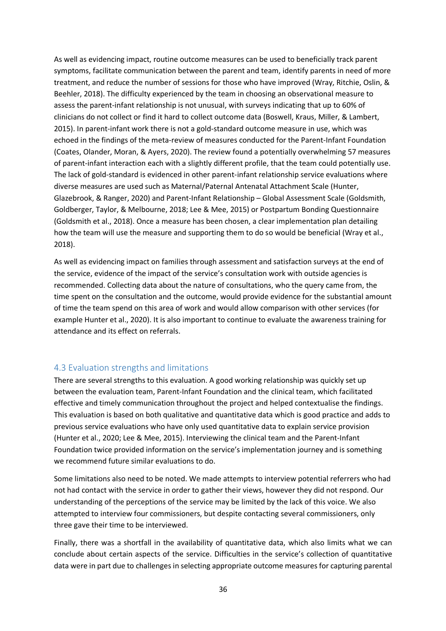As well as evidencing impact, routine outcome measures can be used to beneficially track parent symptoms, facilitate communication between the parent and team, identify parents in need of more treatment, and reduce the number of sessions for those who have improved (Wray, Ritchie, Oslin, & Beehler, 2018). The difficulty experienced by the team in choosing an observational measure to assess the parent-infant relationship is not unusual, with surveys indicating that up to 60% of clinicians do not collect or find it hard to collect outcome data (Boswell, Kraus, Miller, & Lambert, 2015). In parent-infant work there is not a gold-standard outcome measure in use, which was echoed in the findings of the meta-review of measures conducted for the Parent-Infant Foundation (Coates, Olander, Moran, & Ayers, 2020). The review found a potentially overwhelming 57 measures of parent-infant interaction each with a slightly different profile, that the team could potentially use. The lack of gold-standard is evidenced in other parent-infant relationship service evaluations where diverse measures are used such as Maternal/Paternal Antenatal Attachment Scale (Hunter, Glazebrook, & Ranger, 2020) and Parent-Infant Relationship – Global Assessment Scale (Goldsmith, Goldberger, Taylor, & Melbourne, 2018; Lee & Mee, 2015) or Postpartum Bonding Questionnaire (Goldsmith et al., 2018). Once a measure has been chosen, a clear implementation plan detailing how the team will use the measure and supporting them to do so would be beneficial (Wray et al., 2018).

As well as evidencing impact on families through assessment and satisfaction surveys at the end of the service, evidence of the impact of the service's consultation work with outside agencies is recommended. Collecting data about the nature of consultations, who the query came from, the time spent on the consultation and the outcome, would provide evidence for the substantial amount of time the team spend on this area of work and would allow comparison with other services (for example Hunter et al., 2020). It is also important to continue to evaluate the awareness training for attendance and its effect on referrals.

## 4.3 Evaluation strengths and limitations

There are several strengths to this evaluation. A good working relationship was quickly set up between the evaluation team, Parent-Infant Foundation and the clinical team, which facilitated effective and timely communication throughout the project and helped contextualise the findings. This evaluation is based on both qualitative and quantitative data which is good practice and adds to previous service evaluations who have only used quantitative data to explain service provision (Hunter et al., 2020; Lee & Mee, 2015). Interviewing the clinical team and the Parent-Infant Foundation twice provided information on the service's implementation journey and is something we recommend future similar evaluations to do.

Some limitations also need to be noted. We made attempts to interview potential referrers who had not had contact with the service in order to gather their views, however they did not respond. Our understanding of the perceptions of the service may be limited by the lack of this voice. We also attempted to interview four commissioners, but despite contacting several commissioners, only three gave their time to be interviewed.

Finally, there was a shortfall in the availability of quantitative data, which also limits what we can conclude about certain aspects of the service. Difficulties in the service's collection of quantitative data were in part due to challenges in selecting appropriate outcome measures for capturing parental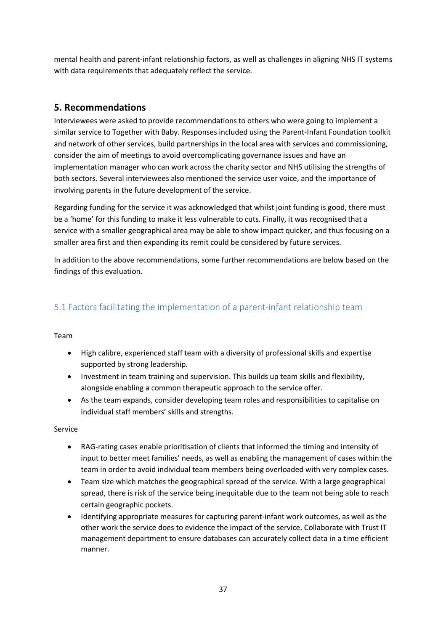mental health and parent-infant relationship factors, as well as challenges in aligning NHS IT systems with data requirements that adequately reflect the service.

# **5. Recommendations**

Interviewees were asked to provide recommendations to others who were going to implement a similar service to Together with Baby. Responses included using the Parent-Infant Foundation toolkit and network of other services, build partnerships in the local area with services and commissioning, consider the aim of meetings to avoid overcomplicating governance issues and have an implementation manager who can work across the charity sector and NHS utilising the strengths of both sectors. Several interviewees also mentioned the service user voice, and the importance of involving parents in the future development of the service.

Regarding funding for the service it was acknowledged that whilst joint funding is good, there must be a 'home' for this funding to make it less vulnerable to cuts. Finally, it was recognised that a service with a smaller geographical area may be able to show impact quicker, and thus focusing on a smaller area first and then expanding its remit could be considered by future services.

In addition to the above recommendations, some further recommendations are below based on the findings of this evaluation.

# 5.1 Factors facilitating the implementation of a parent-infant relationship team

## Team

- High calibre, experienced staff team with a diversity of professional skills and expertise supported by strong leadership.
- Investment in team training and supervision. This builds up team skills and flexibility, alongside enabling a common therapeutic approach to the service offer.
- As the team expands, consider developing team roles and responsibilities to capitalise on individual staff members' skills and strengths.

#### Service

- RAG-rating cases enable prioritisation of clients that informed the timing and intensity of input to better meet families' needs, as well as enabling the management of cases within the team in order to avoid individual team members being overloaded with very complex cases.
- Team size which matches the geographical spread of the service. With a large geographical spread, there is risk of the service being inequitable due to the team not being able to reach certain geographic pockets.
- Identifying appropriate measures for capturing parent-infant work outcomes, as well as the other work the service does to evidence the impact of the service. Collaborate with Trust IT management department to ensure databases can accurately collect data in a time efficient manner.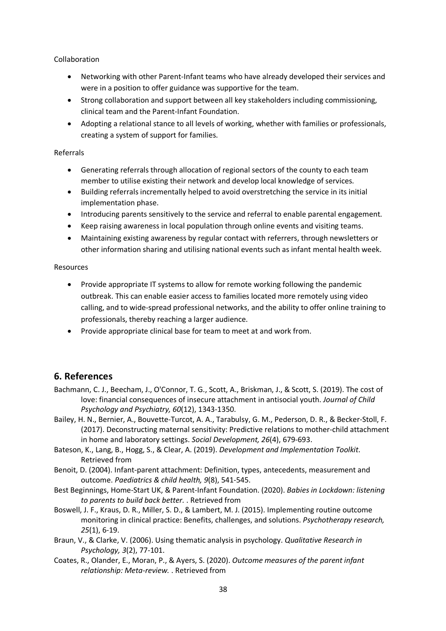Collaboration

- Networking with other Parent-Infant teams who have already developed their services and were in a position to offer guidance was supportive for the team.
- Strong collaboration and support between all key stakeholders including commissioning, clinical team and the Parent-Infant Foundation.
- Adopting a relational stance to all levels of working, whether with families or professionals, creating a system of support for families.

#### Referrals

- Generating referrals through allocation of regional sectors of the county to each team member to utilise existing their network and develop local knowledge of services.
- Building referrals incrementally helped to avoid overstretching the service in its initial implementation phase.
- Introducing parents sensitively to the service and referral to enable parental engagement.
- Keep raising awareness in local population through online events and visiting teams.
- Maintaining existing awareness by regular contact with referrers, through newsletters or other information sharing and utilising national events such as infant mental health week.

#### Resources

- Provide appropriate IT systems to allow for remote working following the pandemic outbreak. This can enable easier access to families located more remotely using video calling, and to wide-spread professional networks, and the ability to offer online training to professionals, thereby reaching a larger audience.
- Provide appropriate clinical base for team to meet at and work from.

# **6. References**

- Bachmann, C. J., Beecham, J., O'Connor, T. G., Scott, A., Briskman, J., & Scott, S. (2019). The cost of love: financial consequences of insecure attachment in antisocial youth. *Journal of Child Psychology and Psychiatry, 60*(12), 1343-1350.
- Bailey, H. N., Bernier, A., Bouvette-Turcot, A. A., Tarabulsy, G. M., Pederson, D. R., & Becker-Stoll, F. (2017). Deconstructing maternal sensitivity: Predictive relations to mother-child attachment in home and laboratory settings. *Social Development, 26*(4), 679-693.
- Bateson, K., Lang, B., Hogg, S., & Clear, A. (2019). *Development and Implementation Toolkit*. Retrieved from
- Benoit, D. (2004). Infant-parent attachment: Definition, types, antecedents, measurement and outcome. *Paediatrics & child health, 9*(8), 541-545.
- Best Beginnings, Home-Start UK, & Parent-Infant Foundation. (2020). *Babies in Lockdown: listening to parents to build back better.* . Retrieved from
- Boswell, J. F., Kraus, D. R., Miller, S. D., & Lambert, M. J. (2015). Implementing routine outcome monitoring in clinical practice: Benefits, challenges, and solutions. *Psychotherapy research, 25*(1), 6-19.
- Braun, V., & Clarke, V. (2006). Using thematic analysis in psychology. *Qualitative Research in Psychology, 3*(2), 77-101.
- Coates, R., Olander, E., Moran, P., & Ayers, S. (2020). *Outcome measures of the parent infant relationship: Meta-review.* . Retrieved from